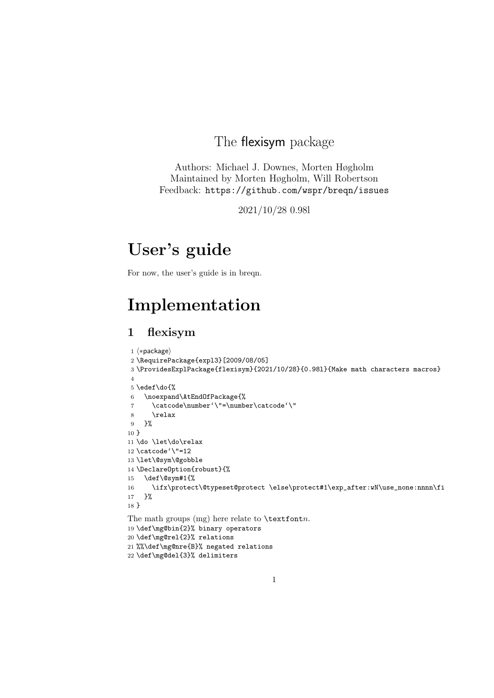# The flexisym package

Authors: Michael J. Downes, Morten Høgholm Maintained by Morten Høgholm, Will Robertson Feedback: https://github.com/wspr/breqn/issues

2021/10/28 0.98l

# User's guide

For now, the user's guide is in breqn.

# Implementation

# 1 flexisym

```
1 \langle *package \rangle2 \RequirePackage{expl3}[2009/08/05]
3 \ProvidesExplPackage{flexisym}{2021/10/28}{0.98l}{Make math characters macros}
4
5 \edef\do{%
6 \noexpand\AtEndOfPackage{%
7 \catcode\number'\"=\number\catcode'\"
8 \relax
9 }%
10 }
11 \do \let\do\relax
12 \catcode'<sup>"=12</sup>
13 \let\@sym\@gobble
14 \DeclareOption{robust}{%
15 \def\@sym#1{%
16 \ifx\protect\@typeset@protect \else\protect#1\exp_after:wN\use_none:nnnn\fi
17 }%
18 }
The math groups (mg) here relate to \text{textont}_n.
19 \def\mg@bin{2}% binary operators
20 \def\mg@rel{2}% relations
21 %%\def\mg@nre{B}% negated relations
22 \def\mg@del{3}% delimiters
```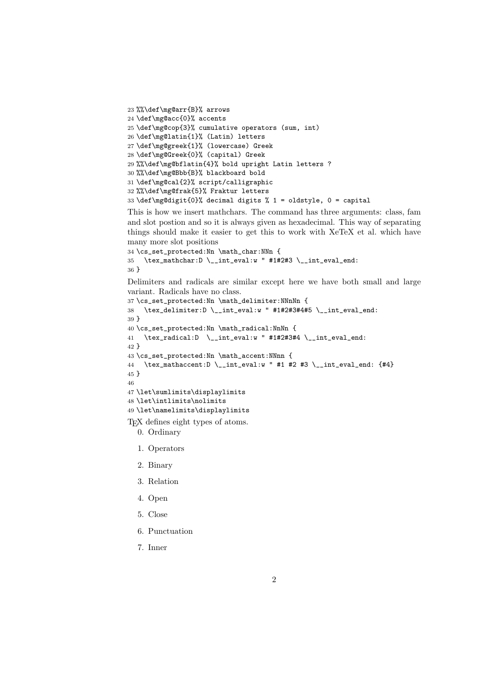```
23 %%\def\mg@arr{B}% arrows
24 \def\mg@acc{0}% accents
25 \def\mg@cop{3}% cumulative operators (sum, int)
26 \def\mg@latin{1}% (Latin) letters
27 \def\mg@greek{1}% (lowercase) Greek
28 \def\mg@Greek{0}% (capital) Greek
29 %%\def\mg@bflatin{4}% bold upright Latin letters ?
30 %%\def\mg@Bbb{B}% blackboard bold
31 \def\mg@cal{2}% script/calligraphic
32 %%\def\mg@frak{5}% Fraktur letters
33 \def\mg@digit{0}% decimal digits % 1 = oldstyle, 0 = capital
```
This is how we insert mathchars. The command has three arguments: class, fam and slot postion and so it is always given as hexadecimal. This way of separating things should make it easier to get this to work with XeTeX et al. which have many more slot positions

```
34 \cs set protected:Nn \math_char:NNn {
35 \tex_mathchar:D \ \{\_\int\unt_eval:w " #1#2#3 \__int_eval_end:
36 }
```
Delimiters and radicals are similar except here we have both small and large variant. Radicals have no class.

```
37 \cs_set_protected:Nn \math_delimiter:NNnNn {
38 \ \ \texttt{\texttt{dev}} = \texttt{\texttt{dev}} \cdot \texttt{\texttt{dev}} + \texttt{\texttt{2#3#4#5}} \quad \texttt{\texttt{dev}} = \texttt{\texttt{dev}} + \texttt{\texttt{dev}} + \texttt{\texttt{dev}} + \texttt{\texttt{dev}} + \texttt{\texttt{dev}} + \texttt{\texttt{dev}} + \texttt{\texttt{dev}} + \texttt{\texttt{dev}} + \texttt{\texttt{dev}} + \texttt{\texttt{dev}} + \texttt{\texttt{dev}} + \texttt{\texttt{dev}} + \texttt{\texttt{dev}} + \texttt{\texttt{dev}} + \texttt{\texttt{dev}} + \texttt{\texttt{dev39 }
40 \cs_set_protected:Nn \math_radical:NnNn {
41 \tex_radical:D \__int_eval:w " #1#2#3#4 \__int_eval_end:
42 }
43 \cs_set_protected:Nn \math_accent:NNnn {
44 \tex_mathaccent:D \__int_eval:w " #1 #2 #3 \__int_eval_end: {#4}
45 }
46
47 \let\sumlimits\displaylimits
48 \let\intlimits\nolimits
49 \let\namelimits\displaylimits
TEX defines eight types of atoms.
     0. Ordinary
```
- 1. Operators
- 2. Binary
- 3. Relation
- 4. Open
- 5. Close
- 6. Punctuation
- 7. Inner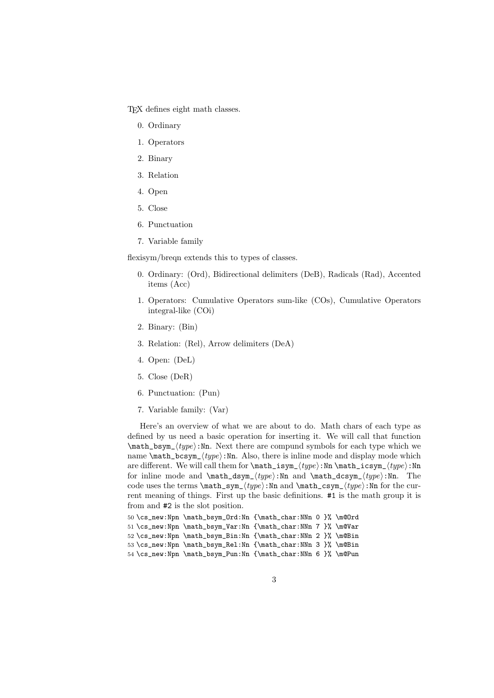TEX defines eight math classes.

- 0. Ordinary
- 1. Operators
- 2. Binary
- 3. Relation
- 4. Open
- 5. Close
- 6. Punctuation
- 7. Variable family

flexisym/breqn extends this to types of classes.

- 0. Ordinary: (Ord), Bidirectional delimiters (DeB), Radicals (Rad), Accented items (Acc)
- 1. Operators: Cumulative Operators sum-like (COs), Cumulative Operators integral-like (COi)
- 2. Binary: (Bin)
- 3. Relation: (Rel), Arrow delimiters (DeA)
- 4. Open: (DeL)
- 5. Close (DeR)
- 6. Punctuation: (Pun)
- 7. Variable family: (Var)

Here's an overview of what we are about to do. Math chars of each type as defined by us need a basic operation for inserting it. We will call that function  $\mathcal{L}_b$  (type): Nn. Next there are compund symbols for each type which we name  $\mathrm{hats}$ ,  $\mathrm{type}$ : Nn. Also, there is inline mode and display mode which are different. We will call them for  $\mathrm{isym}_{type}$ :Nn  $\mathrm{in}$  $\mathrm{isym}_{type}$ :Nn for inline mode and  $\mathbf{dsym}_{type}:\text{Nn}$  and  $\mathbf{dcsym}_{type}:\text{Nn}$ . The code uses the terms  $\mathrm{sym}_{\text{type}}: \mathrm{Nn} \text{ and } \mathrm{sym}_{\text{type}}: \mathrm{Nn}$  for the current meaning of things. First up the basic definitions. #1 is the math group it is from and #2 is the slot position.

```
50 \cs_new:Npn \math_bsym_Ord:Nn {\math_char:NNn 0 }% \m@Ord
51 \cs_new:Npn \math_bsym_Var:Nn {\math_char:NNn 7 }% \m@Var
52 \cs_new:Npn \math_bsym_Bin:Nn {\math_char:NNn 2 }% \m@Bin
53 \cs_new:Npn \math_bsym_Rel:Nn {\math_char:NNn 3 }% \m@Bin
54 \cs_new:Npn \math_bsym_Pun:Nn {\math_char:NNn 6 }% \m@Pun
```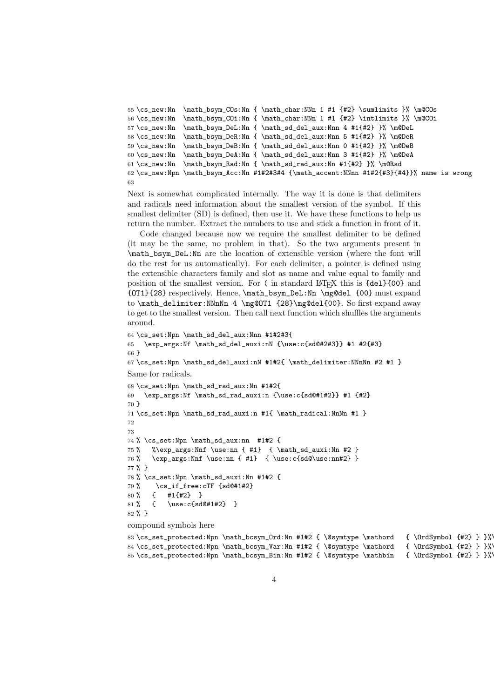```
55 \cs_new:Nn \math_bsym_COs:Nn { \math_char:NNn 1 #1 \#2 \sumlimits }% \m@COs
56 \cs_new:Nn \math_bsym_COi:Nn { \math_char:NNn 1 #1 {#2} \intlimits }% \m@COi
57 \csimeq: Nn \mathrm{bsym\_Del:} \mathcal{L}: Nn 4 #1{#2} }% \m@DeL
58 \cs_new:Nn \math_bsym_DeR:Nn { \math_sd_del_aux:Nnn 5 #1{#2} }% \m@DeR
59 \cs_new:Nn \math_bsym_DeB:Nn { \math_sd_del_aux:Nnn 0 #1{#2} }% \m@DeB
60 \csnew:Nn \mathbf{bsymbol}. The independent \mathbf{sd}_\text{min} 3 #1{#2} }% \m@DeA
61 \cs_new:Nn \math_bsym_Rad:Nn { \math_sd_rad_aux:Nn #1{#2} }% \m@Rad
62 \cs_new:Npn \math_bsym_Acc:Nn #1#2#3#4 {\math_accent:NNnn #1#2{#3}{#4}}% name is wrong
63
```
Next is somewhat complicated internally. The way it is done is that delimiters and radicals need information about the smallest version of the symbol. If this smallest delimiter (SD) is defined, then use it. We have these functions to help us return the number. Extract the numbers to use and stick a function in front of it.

Code changed because now we require the smallest delimiter to be defined (it may be the same, no problem in that). So the two arguments present in \math\_bsym\_DeL:Nn are the location of extensible version (where the font will do the rest for us automatically). For each delimiter, a pointer is defined using the extensible characters family and slot as name and value equal to family and position of the smallest version. For ( in standard LATEX this is {del}{00} and {OT1}{28} respectively. Hence, \math\_bsym\_DeL:Nn \mg@del {00} must expand to \math\_delimiter:NNnNn 4 \mg@OT1 {28}\mg@del{00}. So first expand away to get to the smallest version. Then call next function which shuffles the arguments around.

```
64 \cs_set:Npn \math_sd_del_aux:Nnn #1#2#3{
65 \exp_args:Nf \math_sd_del_auxi:nN {\use:c{sd@#2#3}} #1 #2{#3}
66 }
67 \cs set:Npn \math_sd_del_auxi:nN #1#2{ \math_delimiter:NNnNn #2 #1 }
Same for radicals.
68 \cs_set:Npn \math_sd_rad_aux:Nn #1#2{
69 \exp_args:Nf \math_sd_rad_auxi:n {\use:c{sd@#1#2}} #1 {#2}70 }
71 \cs_set:Npn \math_sd_rad_auxi:n #1{ \math_radical:NnNn #1 }
72
73
74 % \cs_set:Npn \math_sd_aux:nn #1#2 {
75 % %\exp_args:Nnf \use:nn { #1} { \math_sd_auxi:Nn #2 }
76 % \exp_args:Nnf \use:nn { #1} { \use:c{sd@\use:nn#2} }
77 % }
78 % \cs_set:Npn \math_sd_auxi:Nn #1#2 {
79 \% \cs_if_free:cTF {sd@#1#2}
80 % { #1{#2} }
81 % { \use:c{sd@#1#2} }
82 % }
compound symbols here
```

```
83 \cs_set_protected:Npn \math_bcsym_Ord:Nn #1#2 { \@symtype \mathord { \OrdSymbol {#2} } }%\
84 \cs_set_protected:Npn \math_bcsym_Var:Nn #1#2 { \@symtype \mathord { \OrdSymbol {#2} } }%\
85 \cs_set_protected:Npn \math_bcsym_Bin:Nn #1#2 { \@symtype \mathbin { \OrdSymbol {#2} } }%\
```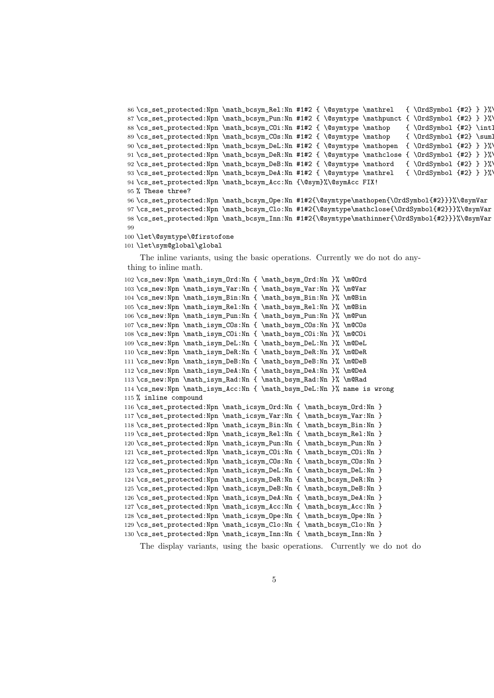```
86 \cs_set_protected:Npn \math_bcsym_Rel:Nn #1#2 { \@symtype \mathrel { \OrdSymbol {#2} } }%\
87 \cs_set_protected:Npn \math_bcsym_Pun:Nn #1#2 { \@symtype \mathpunct { \OrdSymbol {#2} } }%\
88 \cs_set_protected:Npn \math_bcsym_COi:Nn #1#2 { \@symtype \mathop { \OrdSymbol {#2} \intl
89 \cs_set_protected:Npn \math_bcsym_COs:Nn #1#2 { \@symtype \mathop { \OrdSymbol {#2} \suml
90 \cs_set_protected:Npn \math_bcsym_DeL:Nn #1#2 { \@symtype \mathopen { \OrdSymbol {#2} } }%\
91 \cs_set_protected:Npn \math_bcsym_DeR:Nn #1#2 { \@symtype \mathclose { \OrdSymbol {#2} } }%\
92 \cs_set_protected:Npn \math_bcsym_DeB:Nn #1#2 { \@symtype \mathord { \OrdSymbol {#2} } }%\
93 \cs_set_protected:Npn \math_bcsym_DeA:Nn #1#2 { \@symtype \mathrel { \OrdSymbol {#2} } }%\
94 \cs_set_protected:Npn \math_bcsym_Acc:Nn {\@sym}%\@symAcc FIX!
95 % These three?
96 \cs_set_protected:Npn \math_bcsym_Ope:Nn #1#2{\@symtype\mathopen{\OrdSymbol{#2}}}%\@symVar
97 \cs_set_protected:Npn \math_bcsym_Clo:Nn #1#2{\@symtype\mathclose{\OrdSymbol{#2}}}%\@symVar
98 \cs_set_protected:Npn \math_bcsym_Inn:Nn #1#2{\@symtype\mathinner{\OrdSymbol{#2}}}%\@symVar
99
```

```
100 \let\@symtype\@firstofone
```
101 \let\sym@global\global

The inline variants, using the basic operations. Currently we do not do anything to inline math.

```
102 \cs_{new: Npn \mathisym_Urd: Nn { \mathbym_Drd: Nn } % \n@Ord103 \cs_new:Npn \math_isym_Var:Nn { \math_bsym_Var:Nn }% \m@Var
104 \cs_new:Npn \math_isym_Bin:Nn { \math_bsym_Bin:Nn }% \m@Bin
105 \cs_new:Npn \math_isym_Rel:Nn { \math_bsym_Rel:Nn }% \m@Bin
106 \cs_new:Npn \math_isym_Pun:Nn { \math_bsym_Pun:Nn }% \m@Pun
107 \cs_new:Npn \math_isym_COs:Nn { \math_bsym_COs:Nn }% \m@COs
108 \cs_new:Npn \math_isym_COi:Nn { \math_bsym_COi:Nn }% \m@COi
109 \cs_new:Npn \math_isym_DeL:Nn { \math_bsym_DeL:Nn }% \m@DeL
110 \cs_new:Npn \math_isym_DeR:Nn { \math_bsym_DeR:Nn }% \m@DeR
111 \cs_new:Npn \math_isym_DeB:Nn { \math_bsym_DeB:Nn }% \m@DeB
112 \cs_new:Npn \math_isym_DeA:Nn { \math_bsym_DeA:Nn }% \m@DeA
113 \cs new:Npn \math_isym_Rad:Nn { \math_bsym_Rad:Nn }% \m@Rad
114 \cs_new:Npn \math_isym_Acc:Nn { \math_bsym_DeL:Nn }% name is wrong
115 % inline compound
116 \cs_set_protected:Npn \math_icsym_Ord:Nn { \math_bcsym_Ord:Nn }
117 \cs_set_protected:Npn \math_icsym_Var:Nn { \math_bcsym_Var:Nn }
118 \cs_set_protected:Npn \math_icsym_Bin:Nn { \math_bcsym_Bin:Nn }
119 \cs_set_protected:Npn \math_icsym_Rel:Nn { \math_bcsym_Rel:Nn }
120 \cs_set_protected:Npn \math_icsym_Pun:Nn { \math_bcsym_Pun:Nn }
121 \cs_set_protected:Npn \math_icsym_COi:Nn { \math_bcsym_COi:Nn }
122 \cs_set_protected:Npn \math_icsym_COs:Nn { \math_bcsym_COs:Nn }
123 \cs_set_protected:Npn \math_icsym_DeL:Nn { \math_bcsym_DeL:Nn }
124 \cs_set_protected:Npn \math_icsym_DeR:Nn { \math_bcsym_DeR:Nn }
125 \cs_set_protected:Npn \math_icsym_DeB:Nn { \math_bcsym_DeB:Nn }
126 \cs_set_protected:Npn \math_icsym_DeA:Nn { \math_bcsym_DeA:Nn }
127 \cs_set_protected:Npn \math_icsym_Acc:Nn { \math_bcsym_Acc:Nn }
128 \cs_set_protected:Npn \math_icsym_Ope:Nn { \math_bcsym_Ope:Nn }
129 \cs_set_protected:Npn \math_icsym_Clo:Nn { \math_bcsym_Clo:Nn }
130 \cs_set_protected:Npn \math_icsym_Inn:Nn { \math_bcsym_Inn:Nn }
```
The display variants, using the basic operations. Currently we do not do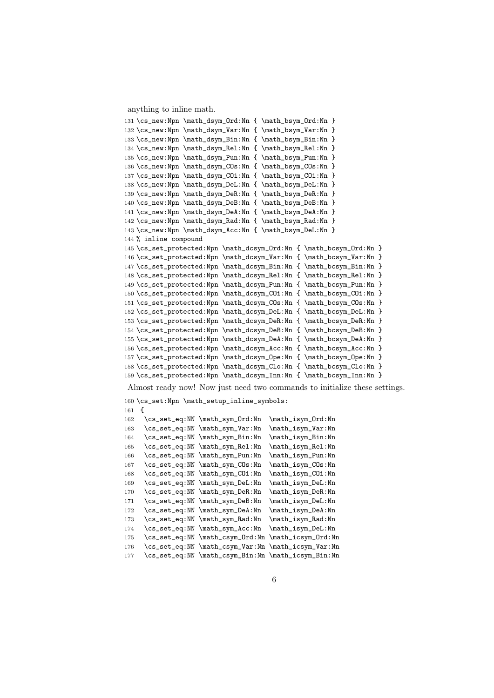anything to inline math.

```
131 \cs_new:Npn \math_dsym_Ord:Nn { \math_bsym_Ord:Nn }
132 \cs_new:Npn \math_dsym_Var:Nn { \math_bsym_Var:Nn }
133 \cs_new:Npn \math_dsym_Bin:Nn { \math_bsym_Bin:Nn }
134 \cs_new:Npn \math_dsym_Rel:Nn { \math_bsym_Rel:Nn }
135 \cs_new:Npn \math_dsym_Pun:Nn { \math_bsym_Pun:Nn }
136 \cs_new:Npn \math_dsym_COs:Nn { \math_bsym_COs:Nn }
137\cs_new:Npn\math_dsym_COi:Nn {\math_bsym_COi:Nn }
138 \cs_new:Npn \math_dsym_DeL:Nn { \math_bsym_DeL:Nn }
139 \cs_new:Npn \math_dsym_DeR:Nn { \math_bsym_DeR:Nn }
140 \cs_new:Npn \math_dsym_DeB:Nn { \math_bsym_DeB:Nn }
141 \cs_new:Npn \math_dsym_DeA:Nn { \math_bsym_DeA:Nn }
142 \cs_new:Npn \math_dsym_Rad:Nn { \math_bsym_Rad:Nn }
143 \cs_new:Npn \math_dsym_Acc:Nn { \math_bsym_DeL:Nn }
144 % inline compound
145 \cs_set_protected:Npn \math_dcsym_Ord:Nn { \math_bcsym_Ord:Nn }
146 \cs_set_protected:Npn \math_dcsym_Var:Nn { \math_bcsym_Var:Nn }
147 \cs_set_protected:Npn \math_dcsym_Bin:Nn { \math_bcsym_Bin:Nn }
148 \cs_set_protected:Npn \math_dcsym_Rel:Nn { \math_bcsym_Rel:Nn }
149 \cs_set_protected:Npn \math_dcsym_Pun:Nn { \math_bcsym_Pun:Nn }
150 \cs_set_protected:Npn \math_dcsym_COi:Nn { \math_bcsym_COi:Nn }
151 \cs_set_protected:Npn \math_dcsym_COs:Nn { \math_bcsym_COs:Nn }
152 \cs_set_protected:Npn \math_dcsym_DeL:Nn { \math_bcsym_DeL:Nn }
153 \cs_set_protected:Npn \math_dcsym_DeR:Nn { \math_bcsym_DeR:Nn }
154 \cs_set_protected:Npn \math_dcsym_DeB:Nn { \math_bcsym_DeB:Nn }
155 \cs_set_protected:Npn \math_dcsym_DeA:Nn { \math_bcsym_DeA:Nn }
156 \cs_set_protected:Npn \math_dcsym_Acc:Nn { \math_bcsym_Acc:Nn }
157 \cs_set_protected:Npn \math_dcsym_Ope:Nn { \math_bcsym_Ope:Nn }
158 \cs\_set\_protected: Npn \math_dcsym\_Clo: Nn { \mathb\_bcsym\_Clo: Nn }159 \cs_set_protected:Npn \math_dcsym_Inn:Nn { \math_bcsym_Inn:Nn }
Almost ready now! Now just need two commands to initialize these settings.
160 \cs_set:Npn \math_setup_inline_symbols:
161 {
162 \cs_set_eq:NN \math_sym_Ord:Nn \math_isym_Ord:Nn
```

```
163 \cs_set_eq:NN \math_sym_Var:Nn \math_isym_Var:Nn
164 \cs_set_eq:NN \math_sym_Bin:Nn \math_isym_Bin:Nn
165 \cs_set_eq:NN \math_sym_Rel:Nn \math_isym_Rel:Nn
166 \cs_set_eq:NN \math_sym_Pun:Nn \math_isym_Pun:Nn
167 \cs_set_eq:NN \math_sym_COs:Nn \math_isym_COs:Nn
168 \cs_set_eq:NN \math_sym_COi:Nn \math_isym_COi:Nn
169 \cs_set_eq:NN \math_sym_DeL:Nn \math_isym_DeL:Nn
170 \cs_set_eq:NN \math_sym_DeR:Nn \math_isym_DeR:Nn
171 \cs_set_eq:NN \math_sym_DeB:Nn \math_isym_DeL:Nn
172 \cs_set_eq:NN \math_sym_DeA:Nn \math_isym_DeA:Nn
173 \cs_set_eq:NN \math_sym_Rad:Nn \math_isym_Rad:Nn
174 \cs_set_eq:NN \math_sym_Acc:Nn \math_isym_DeL:Nn
175 \cs_set_eq:NN \math_csym_Ord:Nn \math_icsym_Ord:Nn
176 \cs_set_eq:NN \math_csym_Var:Nn \math_icsym_Var:Nn
177 \cs_set_eq:NN \math_csym_Bin:Nn \math_icsym_Bin:Nn
```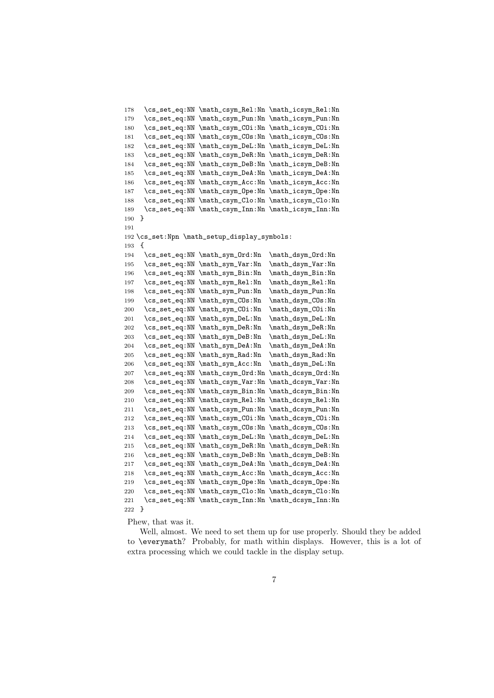```
178 \cs_set_eq:NN \math_csym_Rel:Nn \math_icsym_Rel:Nn
179 \cs_set_eq:NN \math_csym_Pun:Nn \math_icsym_Pun:Nn
180 \cs_set_eq:NN \math_csym_COi:Nn \math_icsym_COi:Nn
181 \cs_set_eq:NN \math_csym_COs:Nn \math_icsym_COs:Nn
182 \cs_set_eq:NN \math_csym_DeL:Nn \math_icsym_DeL:Nn
183 \cs_set_eq:NN \math_csym_DeR:Nn \math_icsym_DeR:Nn
184 \cs_set_eq:NN \math_csym_DeB:Nn \math_icsym_DeB:Nn
185 \cs_set_eq:NN \math_csym_DeA:Nn \math_icsym_DeA:Nn
186 \cs_set_eq:NN \math_csym_Acc:Nn \math_icsym_Acc:Nn
187 \cs_set_eq:NN \math_csym_Ope:Nn \math_icsym_Ope:Nn
188 \cs_set_eq:NN \math_csym_Clo:Nn \math_icsym_Clo:Nn
189 \cs_set_eq:NN \math_csym_Inn:Nn \math_icsym_Inn:Nn
190 }
191
192 \cs_set:Npn \math_setup_display_symbols:
193 \quad 5194 \cs_set_eq:NN \math_sym_Ord:Nn \math_dsym_Ord:Nn
195 \cs_set_eq:NN \math_sym_Var:Nn \math_dsym_Var:Nn
196 \cs_set_eq:NN \math_sym_Bin:Nn \math_dsym_Bin:Nn
197 \cs_set_eq:NN \math_sym_Rel:Nn \math_dsym_Rel:Nn
198 \cs_set_eq:NN \math_sym_Pun:Nn \math_dsym_Pun:Nn
199 \cs_set_eq:NN \math_sym_COs:Nn \math_dsym_COs:Nn
200 \cs_set_eq:NN \math_sym_COi:Nn \math_dsym_COi:Nn
201 \cs_set_eq:NN \math_sym_DeL:Nn \math_dsym_DeL:Nn
202 \cs_set_eq:NN \math_sym_DeR:Nn \math_dsym_DeR:Nn
203 \cs_set_eq:NN \math_sym_DeB:Nn \math_dsym_DeL:Nn
204 \verb|\cc_sset_eq:NN \mathtt_mDeA:Nm \mathdt_dsym_DeA:Nm \_c_set_eq:NN \mathtt_mRad:Nm \mathdt_dsym_Rad:Nm205 \cs_set_eq:NN \math_sym_Rad:Nn \math_dsym_Rad:Nn
206 \cs_set_eq:NN \math_sym_Acc:Nn \math_dsym_DeL:Nn
207 \cs_set_eq:NN \math_csym_Ord:Nn \math_dcsym_Ord:Nn
208 \cs_set_eq:NN \math_csym_Var:Nn \math_dcsym_Var:Nn
209 \cs_set_eq:NN \math_csym_Bin:Nn \math_dcsym_Bin:Nn
210 \cs_set_eq:NN \math_csym_Rel:Nn \math_dcsym_Rel:Nn
211 \cs_set_eq:NN \math_csym_Pun:Nn \math_dcsym_Pun:Nn
212 \cs_set_eq:NN \math_csym_COi:Nn \math_dcsym_COi:Nn
213 \cs_set_eq:NN \math_csym_COs:Nn \math_dcsym_COs:Nn
214 \cs_set_eq:NN \math_csym_DeL:Nn \math_dcsym_DeL:Nn
215 \cs_set_eq:NN \math_csym_DeR:Nn \math_dcsym_DeR:Nn
216 \cs_set_eq:NN \math_csym_DeB:Nn \math_dcsym_DeB:Nn
217 \cs_set_eq:NN \math_csym_DeA:Nn \math_dcsym_DeA:Nn
218 \cs_set_eq:NN \math_csym_Acc:Nn \math_dcsym_Acc:Nn
219 \cs_set_eq:NN \math_csym_Ope:Nn \math_dcsym_Ope:Nn
220 \cs_set_eq:NN \math_csym_Clo:Nn \math_dcsym_Clo:Nn
221 \cs_set_eq:NN \math_csym_Inn:Nn \math_dcsym_Inn:Nn
222 }
```
Phew, that was it.

Well, almost. We need to set them up for use properly. Should they be added to \everymath? Probably, for math within displays. However, this is a lot of extra processing which we could tackle in the display setup.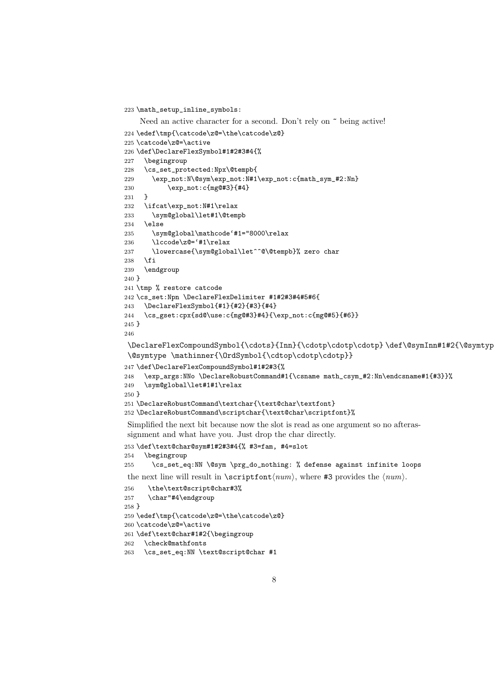\math\_setup\_inline\_symbols:

```
Need an active character for a second. Don't rely on \tilde{ } being active!
```

```
224 \edef\tmp{\catcode\z@=\the\catcode\z@}
225 \catcode\z@=\active
226 \def\DeclareFlexSymbol#1#2#3#4{%
227 \begingroup
228 \cs_set_protected:Npx\@tempb{
229 \exp_not:N\@sym\exp_not:N#1\exp_not:c{math_sym_#2:Nn}
230 \exp_not:c{mg@#3}{#4}
231 }
232 \ifcat\exp_not:N#1\relax
233 \sym@global\let#1\@tempb
234 \else
235 \sym@global\mathcode'#1="8000\relax
236 \lccode\z@='#1\relax
237 \lowercase{\sym@global\let^^@\@tempb}% zero char
238 \fi
239 \endgroup
240 }
241 \tmp % restore catcode
242 \cs_set:Npn \DeclareFlexDelimiter #1#2#3#4#5#6{
243 \DeclareFlexSymbol{#1}{#2}{#3}{#4}
244 \cs_gset:cpx{sd@\use:c{mg@#3}#4}{\exp_not:c{mg@#5}{#6}}
245 }
246
```

```
\DeclareFlexCompoundSymbol{\cdots}{Inn}{\cdotp\cdotp\cdotp} \def\@symInn#1#2{\@symtyp
\@symtype \mathinner{\OrdSymbol{\cdtop\cdotp\cdotp}}
```

```
247 \def\DeclareFlexCompoundSymbol#1#2#3{%
248 \exp_args:NNo \DeclareRobustCommand#1{\csname math_csym_#2:Nn\endcsname#1{#3}}%
249 \sym@global\let#1#1\relax
250 }
251 \DeclareRobustCommand\textchar{\text@char\textfont}
252 \DeclareRobustCommand\scriptchar{\text@char\scriptfont}%
```
Simplified the next bit because now the slot is read as one argument so no afterassignment and what have you. Just drop the char directly.

```
253 \def\text@char@sym#1#2#3#4{% #3=fam, #4=slot
```

```
254 \begingroup
```
\cs\_set\_eq:NN \@sym \prg\_do\_nothing: % defense against infinite loops

the next line will result in  $\scriptstyle\{num\}$ , where #3 provides the  $\langle num \rangle$ .

```
256 \the\text@script@char#3%
257 \char"#4\endgroup
258 }
259 \edef\tmp{\catcode\z@=\the\catcode\z@}
260 \catcode\z@=\active
261 \def\text@char#1#2{\begingroup
262 \check@mathfonts
```

```
263 \cs_set_eq:NN \text@script@char #1
```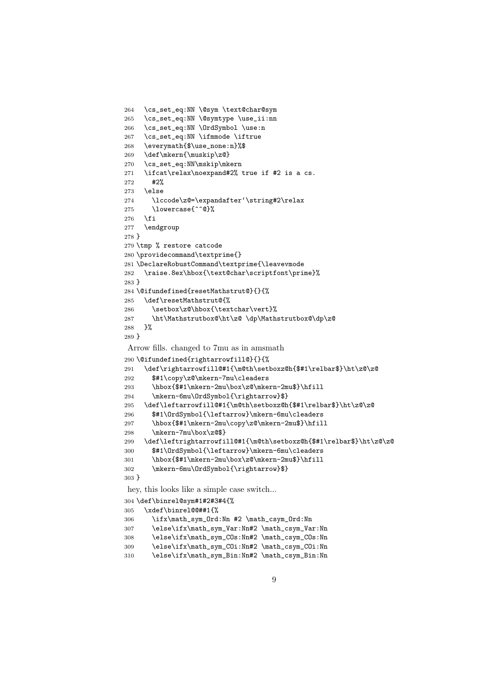```
264 \cs_set_eq:NN \@sym \text@char@sym
265 \cs_set_eq:NN \@symtype \use_ii:nn
266 \cs_set_eq:NN \OrdSymbol \use:n
267 \cs_set_eq:NN \ifmmode \iftrue
268 \everymath{$\use_none:n}%$
269 \def\mkern{\muskip\z@}
270 \cs_set_eq:NN\mskip\mkern
271 \ifcat\relax\noexpand#2% true if #2 is a cs.
272 #2%
273 \else
274 \lccode\z@=\expandafter'\string#2\relax
275 \lowercase{^^@}%
276 \fi
277 \endgroup
278 }
279 \tmp % restore catcode
280 \providecommand\textprime{}
281 \DeclareRobustCommand\textprime{\leavevmode
282 \raise.8ex\hbox{\text@char\scriptfont\prime}%
283 }
284 \@ifundefined{resetMathstrut@}{}{%
285 \def\resetMathstrut@{%
286 \setbox\z@\hbox{\textchar\vert}%
287 \ht\Mathstrutbox@\ht\z@ \dp\Mathstrutbox@\dp\z@
288 }%
289 }
Arrow fills. changed to 7mu as in amsmath
290 \@ifundefined{rightarrowfill@}{}{%
291 \def\rightarrowfill@#1{\m@th\setboxz@h{$#1\relbar$}\ht\z@\z@
292 $#1\copy\z@\mkern-7mu\cleaders
293 \hbox{$#1\mkern-2mu\box\z@\mkern-2mu$}\hfill
294 \mkern-6mu\OrdSymbol{\rightarrow}$}
295 \def\leftarrowfill@#1{\m@th\setboxz@h{$#1\relbar$}\ht\z@\z@
296 $#1\OrdSymbol{\leftarrow}\mkern-6mu\cleaders
297 \hbox{$#1\mkern-2mu\copy\z@\mkern-2mu$}\hfill
298 \mkern-7mu\box\z@$}
299 \def\leftrightarrowfill@#1{\m@th\setboxz@h{$#1\relbar$}\ht\z@\z@
300 $#1\OrdSymbol{\leftarrow}\mkern-6mu\cleaders
301 \hbox{$#1\mkern-2mu\box\z@\mkern-2mu$}\hfill
302 \mkern-6mu\OrdSymbol{\rightarrow}$}
303 }
hey, this looks like a simple case switch...
304 \def\binrel@sym#1#2#3#4{%
305 \xdef\binrel@@##1{%
306 \ifx\math_sym_Ord:Nn #2 \math_csym_Ord:Nn
307 \else\ifx\math_sym_Var:Nn#2 \math_csym_Var:Nn
308 \else\ifx\math_sym_COs:Nn#2 \math_csym_COs:Nn
```

```
309 \else\ifx\math_sym_COi:Nn#2 \math_csym_COi:Nn
```

```
310 \else\ifx\math_sym_Bin:Nn#2 \math_csym_Bin:Nn
```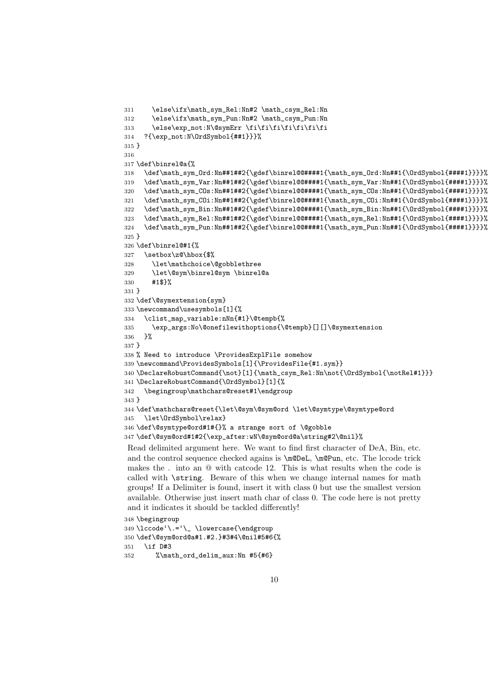```
311 \else\ifx\math_sym_Rel:Nn#2 \math_csym_Rel:Nn
312 \else\ifx\math_sym_Pun:Nn#2 \math_csym_Pun:Nn
313 \else\exp_not:N\@symErr \fi\fi\fi\fi\fi\fi\fi\fi
314 ?{\exp_not:N\OrdSymbol{##1}}}%
315 }
316
317 \def\binrel@a{%
318 \def\math_sym_Ord:Nn##1##2{\gdef\binrel@@####1{\math_sym_Ord:Nn##1{\OrdSymbol{####1}}}}%
319 \def\math_sym_Var:Nn##1##2{\gdef\binrel@@####1{\math_sym_Var:Nn##1{\OrdSymbol{####1}}}}%
320 \def\math_sym_COs:Nn##1##2{\gdef\binrel@@####1{\math_sym_COs:Nn##1{\OrdSymbol{####1}}}}%
321 \def\math_sym_COi:Nn##1##2{\gdef\binrel@@####1{\math_sym_COi:Nn##1{\OrdSymbol{####1}}}}%
322 \def\math_sym_Bin:Nn##1##2{\gdef\binrel@@####1{\math_sym_Bin:Nn##1{\OrdSymbol{####1}}}}%
323 \def\math_sym_Rel:Nn##1##2{\gdef\binrel@@####1{\math_sym_Rel:Nn##1{\OrdSymbol{####1}}}}%
324 \def\math_sym_Pun:Nn##1##2{\gdef\binrel@@####1{\math_sym_Pun:Nn##1{\OrdSymbol{####1}}}}%
325 }
326 \def\binrel@#1{%
327 \setbox\z@\hbox{$%
328 \let\mathchoice\@gobblethree
329 \let\@sym\binrel@sym \binrel@a
330 #1$}%
331 }
332 \def\@symextension{sym}
333 \newcommand\usesymbols[1]{%
334 \clist_map_variable:nNn{#1}\@tempb{%
335 \exp_args:No\@onefilewithoptions{\@tempb}[][]\@symextension
336 }%
337 }
338 % Need to introduce \ProvidesExplFile somehow
339 \newcommand\ProvidesSymbols[1]{\ProvidesFile{#1.sym}}
340 \DeclareRobustCommand{\not}[1]{\math_csym_Rel:Nn\not{\OrdSymbol{\notRel#1}}}
341 \DeclareRobustCommand{\OrdSymbol}[1]{%
342 \begingroup\mathchars@reset#1\endgroup
343 }
344 \def\mathchars@reset{\let\@sym\@sym@ord \let\@symtype\@symtype@ord
345 \let\OrdSymbol\relax}
346 \def\@symtype@ord#1#{}% a strange sort of \@gobble
347 \def\@sym@ord#1#2{\exp_after:wN\@sym@ord@a\string#2\@nil}%
Read delimited argument here. We want to find first character of DeA, Bin, etc.
```
and the control sequence checked agains is \m@DeL, \m@Pun, etc. The lccode trick makes the . into an @ with catcode 12. This is what results when the code is called with \string. Beware of this when we change internal names for math groups! If a Delimiter is found, insert it with class 0 but use the smallest version available. Otherwise just insert math char of class 0. The code here is not pretty and it indicates it should be tackled differently!

```
348 \begingroup
349 \lccode'\.='\_ \lowercase{\endgroup
350 \def\@sym@ord@a#1.#2.}#3#4\@nil#5#6{%
351 \if D#3
352 %\math_ord_delim_aux:Nn #5{#6}
```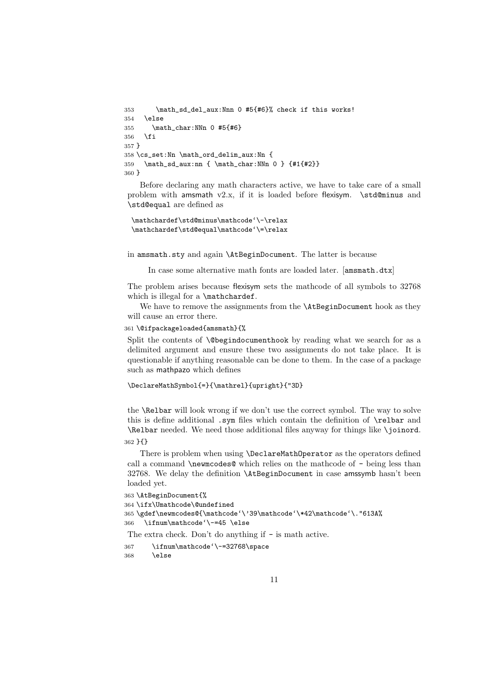```
353 \math_sd_del_aux:Nnn 0 #5{#6}% check if this works!
354 \else
355 \math_char:NNn 0 #5{#6}
356 \fi
357 }
358 \cs_set:Nn \math_ord_delim_aux:Nn {
359 \math_sd_aux:nn { \math_char:NNn 0 } {#1{#2}}
360 }
```
Before declaring any math characters active, we have to take care of a small problem with amsmath  $v2.x$ , if it is loaded before flexisym.  $\std@minus$  and \std@equal are defined as

```
\mathchardef\std@minus\mathcode'\-\relax
\mathchardef\std@equal\mathcode'\=\relax
```
in amsmath.sty and again \AtBeginDocument. The latter is because

In case some alternative math fonts are loaded later. [amsmath.dtx]

The problem arises because flexisym sets the mathcode of all symbols to 32768 which is illegal for a \mathchardef.

We have to remove the assignments from the **\AtBeginDocument** hook as they will cause an error there.

```
361 \@ifpackageloaded{amsmath}{%
```
Split the contents of \@begindocumenthook by reading what we search for as a delimited argument and ensure these two assignments do not take place. It is questionable if anything reasonable can be done to them. In the case of a package such as mathpazo which defines

```
\DeclareMathSymbol{=}{\mathrel}{upright}{"3D}
```
the \Relbar will look wrong if we don't use the correct symbol. The way to solve this is define additional .sym files which contain the definition of \relbar and \Relbar needed. We need those additional files anyway for things like \joinord.

362 }{}

There is problem when using \DeclareMathOperator as the operators defined call a command \newmcodes@ which relies on the mathcode of - being less than 32768. We delay the definition \AtBeginDocument in case amssymb hasn't been loaded yet.

```
363 \AtBeginDocument{%
364 \ifx\Umathcode\@undefined
365 \gdef\newmcodes@{\mathcode'\'39\mathcode'\*42\mathcode'\."613A%
366 \ifnum\mathcode'\-=45 \else
The extra check. Don't do anything if - is math active.
367 \ifnum\mathcode'\-=32768\space
```

```
368 \else
```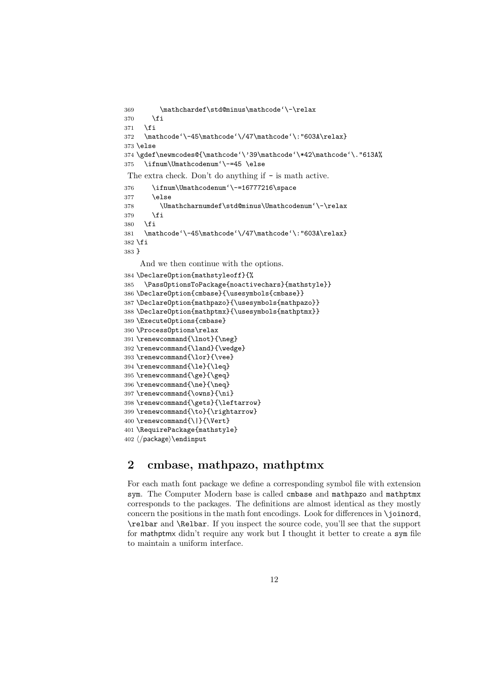```
369 \mathchardef\std@minus\mathcode'\-\relax
370 \fi
371 \fi
372 \mathcode'\-45\mathcode'\/47\mathcode'\:"603A\relax}
373 \else
374 \gdef\newmcodes@{\mathcode'\'39\mathcode'\*42\mathcode'\."613A%
375 \ifnum\Umathcodenum'\-=45 \else
The extra check. Don't do anything if - is math active.
376 \ifnum\Umathcodenum'\-=16777216\space
377 \else
378 \Umathcharnumdef\std@minus\Umathcodenum'\-\relax
379 \fi
380 \fi
381 \mathcode'\-45\mathcode'\/47\mathcode'\:"603A\relax}
382 \fi
383 }
    And we then continue with the options.
384 \DeclareOption{mathstyleoff}{%
385 \PassOptionsToPackage{noactivechars}{mathstyle}}
386 \DeclareOption{cmbase}{\usesymbols{cmbase}}
387 \DeclareOption{mathpazo}{\usesymbols{mathpazo}}
388 \DeclareOption{mathptmx}{\usesymbols{mathptmx}}
389 \ExecuteOptions{cmbase}
390 \ProcessOptions\relax
391 \renewcommand{\lnot}{\neg}
392 \renewcommand{\land}{\wedge}
393 \renewcommand{\lor}{\vee}
394 \renewcommand{\le}{\leq}
395 \renewcommand{\ge}{\geq}
396 \renewcommand{\ne}{\neq}
397 \renewcommand{\owns}{\ni}
398 \renewcommand{\gets}{\leftarrow}
399 \renewcommand{\to}{\rightarrow}
400 \renewcommand{\|}{\Vert}
401 \RequirePackage{mathstyle}
402 \langle package\rangle\endinput
```
# 2 cmbase, mathpazo, mathptmx

For each math font package we define a corresponding symbol file with extension sym. The Computer Modern base is called cmbase and mathpazo and mathptmx corresponds to the packages. The definitions are almost identical as they mostly concern the positions in the math font encodings. Look for differences in \joinord, \relbar and \Relbar. If you inspect the source code, you'll see that the support for mathptmx didn't require any work but I thought it better to create a sym file to maintain a uniform interface.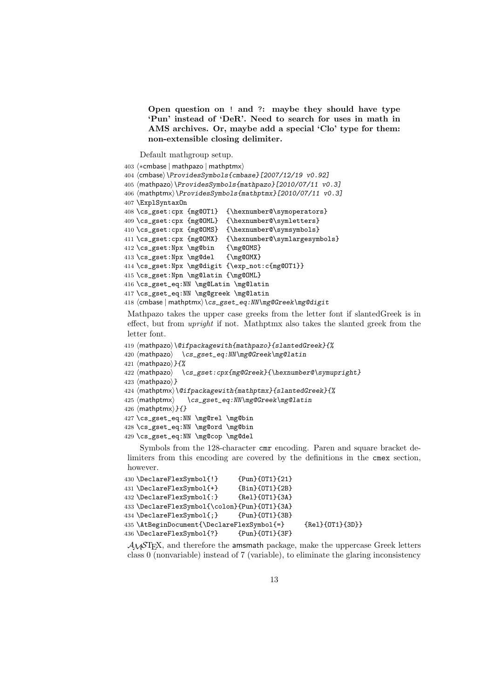Open question on ! and ?: maybe they should have type 'Pun' instead of 'DeR'. Need to search for uses in math in AMS archives. Or, maybe add a special 'Clo' type for them: non-extensible closing delimiter.

Default mathgroup setup.

```
403 \langle *cmbase | mathpazo | mathptmx \rangle404 \langle \text{cmbase}\rangle \langle \text{ProvidesSymbols{cmbase}[2007/12/19 v0.92]}405 (mathpazo)\ProvidesSymbols{mathpazo}[2010/07/11 v0.3]
406 (mathptmx) \ProvidesSymbols{mathptmx}[2010/07/11 v0.3]
407 \ExplSyntaxOn
408 \cs_gset:cpx {mg@OT1} {\hexnumber@\symoperators}
409 \cs_gset:cpx {mg@OML} {\hexnumber@\symletters}
410 \cs_gset:cpx {mg@OMS} {\hexnumber@\symsymbols}
411 \cs_gset:cpx {mg@OMX} {\hexnumber@\symlargesymbols}
412 \cs_gset:Npx \mg@bin {\mg@OMS}
413 \cs_gset:Npx \mg@del {\mg@OMX}
414 \cs_gset:Npx \mg@digit {\exp_not:c{mg@OT1}}
415 \cs_gset:Npn \mg@latin {\mg@OML}
416 \cs_gset_eq:NN \mg@Latin \mg@latin
417 \cs_gset_eq:NN \mg@greek \mg@latin
418 (cmbase | mathptmx) \cs_gset_eq:NN\mg@Greek\mg@digit
```
Mathpazo takes the upper case greeks from the letter font if slantedGreek is in effect, but from upright if not. Mathptmx also takes the slanted greek from the letter font.

```
419 (mathpazo)\@ifpackagewith{mathpazo}{slantedGreek}{%
420 \langlemathpazo\rangle \ \cos_gset_eq:NN\mg@Greek\mg@latin
421 \langle mathpazo\rangle}{%
422 (mathpazo) \cs_gset:cpx{mg@Greek}{\hexnumber@\symupright}
423 \langlemathpazo\rangle}
424 (mathptmx)\@ifpackagewith{mathptmx}{slantedGreek}{%
425 \langle \text{math} \rangle \quad \langle cs\_gset\_eq: NN \rangle hg@Greek\mg@latin
426 \langle \text{mathptmx} \rangle}{}
427 \cs_gset_eq:NN \mg@rel \mg@bin
428 \cs_gset_eq:NN \mg@ord \mg@bin
429 \cs_gset_eq:NN \mg@cop \mg@del
```
Symbols from the 128-character cmr encoding. Paren and square bracket delimiters from this encoding are covered by the definitions in the cmex section, however.

```
430 \DeclareFlexSymbol{!} {Pun}{OT1}{21}
431 \DeclareFlexSymbol{+} {Bin}{OT1}{2B}
432 \DeclareFlexSymbol{:} {Rel}{OT1}{3A}
433 \DeclareFlexSymbol{\colon}{Pun}{OT1}{3A}
434 \DeclareFlexSymbol{;} {Pun}{OT1}{3B}
435 \AtBeginDocument{\DeclareFlexSymbol{=} {Rel}{OT1}{3D}}
436 \DeclareFlexSymbol{?} {Pun}{OT1}{3F}
```
AMSTEX, and therefore the amsmath package, make the uppercase Greek letters class 0 (nonvariable) instead of 7 (variable), to eliminate the glaring inconsistency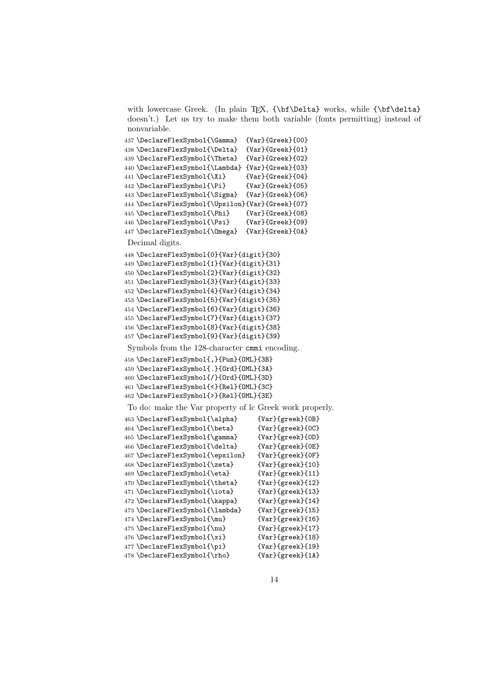with lowercase Greek. (In plain TFX, {\bf\Delta} works, while {\bf\delta} doesn't.) Let us try to make them both variable (fonts permitting) instead of nonvariable.

```
437 \DeclareFlexSymbol{\Gamma} {Var}{Greek}{00}
438 \DeclareFlexSymbol{\Delta} {Var}{Greek}{01}
439 \DeclareFlexSymbol{\Theta} {Var}{Greek}{02}
440 \DeclareFlexSymbol{\Lambda} {Var}{Greek}{03}
441 \DeclareFlexSymbol{\Xi} {Var}{Greek}{04}
442 \DeclareFlexSymbol{\Pi} {Var}{Greek}{05}
443 \DeclareFlexSymbol{\Sigma} {Var}{Greek}{06}
444 \DeclareFlexSymbol{\Upsilon}{Var}{Greek}{07}
445 \DeclareFlexSymbol{\Phi} {Var}{Greek}{08}
446 \DeclareFlexSymbol{\Psi} {Var}{Greek}{09}
447 \DeclareFlexSymbol{\Omega} {Var}{Greek}{0A}
Decimal digits.
448 \DeclareFlexSymbol{0}{Var}{digit}{30}
449 \DeclareFlexSymbol{1}{Var}{digit}{31}
450 \DeclareFlexSymbol{2}{Var}{digit}{32}
451 \DeclareFlexSymbol{3}{Var}{digit}{33}
452 \DeclareFlexSymbol{4}{Var}{digit}{34}
453 \DeclareFlexSymbol{5}{Var}{digit}{35}
454 \DeclareFlexSymbol{6}{Var}{digit}{36}
455 \DeclareFlexSymbol{7}{Var}{digit}{37}
456 \DeclareFlexSymbol{8}{Var}{digit}{38}
457 \DeclareFlexSymbol{9}{Var}{digit}{39}
Symbols from the 128-character cmmi encoding.
458 \DeclareFlexSymbol{,}{Pun}{OML}{3B}
459 \DeclareFlexSymbol{.}{Ord}{OML}{3A}
460 \DeclareFlexSymbol{/}{Ord}{OML}{3D}
461 \DeclareFlexSymbol{<}{Rel}{OML}{3C}
462 \DeclareFlexSymbol{>}{Rel}{OML}{3E}
To do: make the Var property of lc Greek work properly.
463 \DeclareFlexSymbol{\alpha} {Var}{greek}{0B}
464 \DeclareFlexSymbol{\beta} {Var}{greek}{0C}
465 \DeclareFlexSymbol{\gamma} {Var}{greek}{0D}
466 \DeclareFlexSymbol{\delta} {Var}{greek}{0E}
467\DeclareFlexSymbol{\epsilon} {Var}{greek}{0F}
468 \DeclareFlexSymbol{\zeta} {Var}{greek}{10}
469 \DeclareFlexSymbol{\eta} {Var}{greek}{11}
470 \DeclareFlexSymbol{\theta} {Var}{greek}{12}
471 \DeclareFlexSymbol{\iota} {Var}{greek}{13}
472 \DeclareFlexSymbol{\kappa} {Var}{greek}{14}
473 \DeclareFlexSymbol{\lambda} {Var}{greek}{15}
474 \DeclareFlexSymbol{\mu} {Var}{greek}{16}
475 \DeclareFlexSymbol{\nu} {Var}{greek}{17}
476 \DeclareFlexSymbol{\xi} {Var}{greek}{18}
477 \DeclareFlexSymbol{\pi} {Var}{greek}{19}
478 \DeclareFlexSymbol{\rho} {Var}{greek}{1A}
```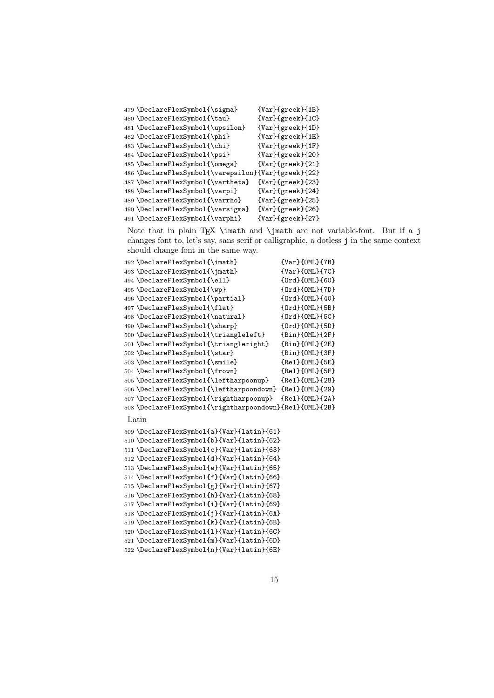| 479 \DeclareFlexSymbol{\sigma}                      | {Var}{greek}{1B}      |
|-----------------------------------------------------|-----------------------|
| 480 \DeclareFlexSymbol{\tau}                        | $\{Var\}$ {greek}{1C} |
| 481 \DeclareFlexSymbol{\upsilon}                    | $\{Var\}$ {greek}{1D} |
| 482 \DeclareFlexSymbol{\phi}                        | $\{Var\}$ {greek}{1E} |
| 483 \DeclareFlexSymbol{\chi}                        | {Var}{greek}{1F}      |
| 484 \DeclareFlexSymbol{\psi}                        | $\{Var\}$ {greek}{20} |
| 485 \DeclareFlexSymbol{\omega}                      | $\{Var\}$ {greek}{21} |
| 486 \DeclareFlexSymbol{\varepsilon}{Var}{greek}{22} |                       |
| 487 \DeclareFlexSymbol{\vartheta}                   | $\{Var\}$ {greek}{23} |
| 488 \DeclareFlexSymbol{\varpi}                      | $\{Var\}$ {greek}{24} |
| 489 \DeclareFlexSymbol{\varrho}                     | $\{Var\}$ {greek}{25} |
| 490 \DeclareFlexSymbol{\varsigma}                   | $\{Var\}$ {greek}{26} |
| 491 \DeclareFlexSymbol{\varphi}                     | $\{Var\}$ {greek}{27} |
|                                                     |                       |

Note that in plain TEX \imath and \jmath are not variable-font. But if a j changes font to, let's say, sans serif or calligraphic, a dotless j in the same context should change font in the same way.

| 492 \DeclareFlexSymbol{\imath}                          | $\{Var\}$ {OML}{7B}    |
|---------------------------------------------------------|------------------------|
| 493 \DeclareFlexSymbol{\jmath}                          | $\{Var\}$ {OML}{7C}    |
| 494 \DeclareFlexSymbol{\ell}                            | ${0rd}{0ML}{60}$       |
| 495 \DeclareFlexSymbol{\wp}                             | ${Ord}{OML}{7D}$       |
| 496 \DeclareFlexSymbol{\partial}                        | ${Ord}{OML}{40}$       |
| 497 \DeclareFlexSymbol{\flat}                           | ${Ord}{OML}{5B}$       |
| 498 \DeclareFlexSymbol{\natural}                        | ${Ord}{OML}{f5C}$      |
| 499 \DeclareFlexSymbol{\sharp}                          | ${Ord}{OML}{SDD}$      |
| 500 \DeclareFlexSymbol{\triangleleft}                   | ${Bin}$ {OML}{2F}      |
| 501 \DeclareFlexSymbol{\triangleright}                  | $\{Bin\}(OML)$ {2E}    |
| 502 \DeclareFlexSymbol{\star}                           | ${Bin}(OML){3F}$       |
| 503 \DeclareFlexSymbol{\smile}                          | ${Re1}$ {OML} ${5E}$ } |
| 504 \DeclareFlexSymbol{\frown}                          | ${Re1}$ ${OML}$ ${5F}$ |
| 505 \DeclareFlexSymbol{\leftharpoonup}                  | ${Re1}$ {OML}{28}      |
| 506 \DeclareFlexSymbol{\leftharpoondown}                | {Rel}{OML}{29}         |
| 507 \DeclareFlexSymbol{\rightharpoonup}                 | ${Re1}$ ${OML}$ ${2A}$ |
| 508 \DeclareFlexSymbol{\rightharpoondown}{Rel}{OML}{2B} |                        |
| Latin                                                   |                        |
| 509 \DeclareFlexSymbol{a}{Var}{latin}{61}               |                        |
| 510 \DeclareFlexSymbol{b}{Var}{latin}{62}               |                        |
| 511 \DeclareFlexSymbol{c}{Var}{latin}{63}               |                        |
| 512 \DeclareFlexSymbol{d}{Var}{latin}{64}               |                        |
| 513 \DeclareFlexSymbol{e}{Var}{latin}{65}               |                        |
| 514 \DeclareFlexSymbol{f}{Var}{latin}{66}               |                        |
| 515 \DeclareFlexSymbol{g}{Var}{latin}{67}               |                        |
| 516 \DeclareFlexSymbol{h}{Var}{latin}{68}               |                        |
| 517 \DeclareFlexSymbol{i}{Var}{latin}{69}               |                        |
| 518 \DeclareFlexSymbol{j}{Var}{latin}{6A}               |                        |
| 519 \DeclareFlexSymbol{k}{Var}{latin}{6B}               |                        |
| 520 \DeclareFlexSymbol{1}{Var}{latin}{6C}               |                        |
| 521 \DeclareFlexSymbol{m}{Var}{latin}{6D}               |                        |
| 522 \DeclareFlexSymbol{n}{Var}{latin}{6E}               |                        |
|                                                         |                        |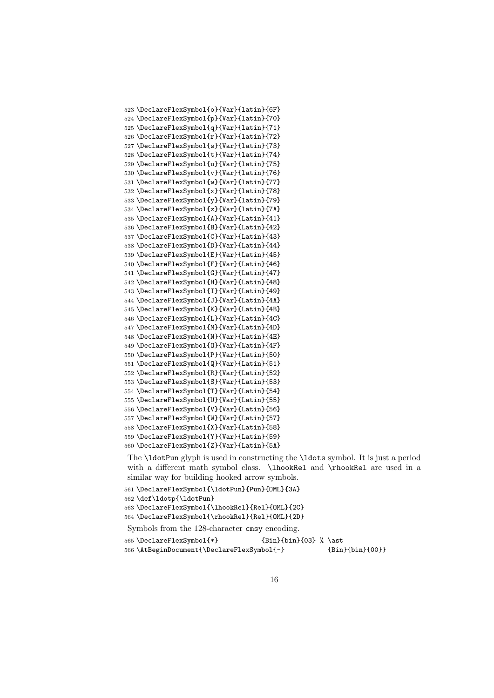```
523 \DeclareFlexSymbol{o}{Var}{latin}{6F}
524 \DeclareFlexSymbol{p}{Var}{latin}{70}
525 \DeclareFlexSymbol{q}{Var}{latin}{71}
526 \DeclareFlexSymbol{r}{Var}{latin}{72}
527 \DeclareFlexSymbol{s}{Var}{latin}{73}
528 \DeclareFlexSymbol{t}{Var}{latin}{74}
529 \DeclareFlexSymbol{u}{Var}{latin}{75}
530 \DeclareFlexSymbol{v}{Var}{latin}{76}
531 \DeclareFlexSymbol{w}{Var}{latin}{77}
532 \DeclareFlexSymbol{x}{Var}{latin}{78}
533 \DeclareFlexSymbol{y}{Var}{latin}{79}
534 \DeclareFlexSymbol{z}{Var}{latin}{7A}
535 \DeclareFlexSymbol{A}{Var}{Latin}{41}
536 \DeclareFlexSymbol{B}{Var}{Latin}{42}
537 \DeclareFlexSymbol{C}{Var}{Latin}{43}
538 \DeclareFlexSymbol{D}{Var}{Latin}{44}
539 \DeclareFlexSymbol{E}{Var}{Latin}{45}
540 \DeclareFlexSymbol{F}{Var}{Latin}{46}
541 \DeclareFlexSymbol{G}{Var}{Latin}{47}
542 \DeclareFlexSymbol{H}{Var}{Latin}{48}
543 \DeclareFlexSymbol{I}{Var}{Latin}{49}
544 \DeclareFlexSymbol{J}{Var}{Latin}{4A}
545 \DeclareFlexSymbol{K}{Var}{Latin}{4B}
546 \DeclareFlexSymbol{L}{Var}{Latin}{4C}
547 \DeclareFlexSymbol{M}{Var}{Latin}{4D}
548 \DeclareFlexSymbol{N}{Var}{Latin}{4E}
549 \DeclareFlexSymbol{O}{Var}{Latin}{4F}
550 \DeclareFlexSymbol{P}{Var}{Latin}{50}
551 \DeclareFlexSymbol{Q}{Var}{Latin}{51}
552 \DeclareFlexSymbol{R}{Var}{Latin}{52}
553 \DeclareFlexSymbol{S}{Var}{Latin}{53}
554 \DeclareFlexSymbol{T}{Var}{Latin}{54}
555 \DeclareFlexSymbol{U}{Var}{Latin}{55}
556 \DeclareFlexSymbol{V}{Var}{Latin}{56}
557 \DeclareFlexSymbol{W}{Var}{Latin}{57}
558 \DeclareFlexSymbol{X}{Var}{Latin}{58}
559 \DeclareFlexSymbol{Y}{Var}{Latin}{59}
560 \DeclareFlexSymbol{Z}{Var}{Latin}{5A}
```
The \ldotPun glyph is used in constructing the \ldots symbol. It is just a period with a different math symbol class. \lhookRel and \rhookRel are used in a similar way for building hooked arrow symbols.

```
561 \DeclareFlexSymbol{\ldotPun}{Pun}{OML}{3A}
562 \def\ldotp{\ldotPun}
563 \DeclareFlexSymbol{\lhookRel}{Rel}{OML}{2C}
564 \DeclareFlexSymbol{\rhookRel}{Rel}{OML}{2D}
Symbols from the 128-character cmsy encoding.
565 \DeclareFlexSymbol{*} {Bin}{bin}{03} % \ast
566 \AtBeginDocument{\DeclareFlexSymbol{-} {Bin}{bin}{00}}
```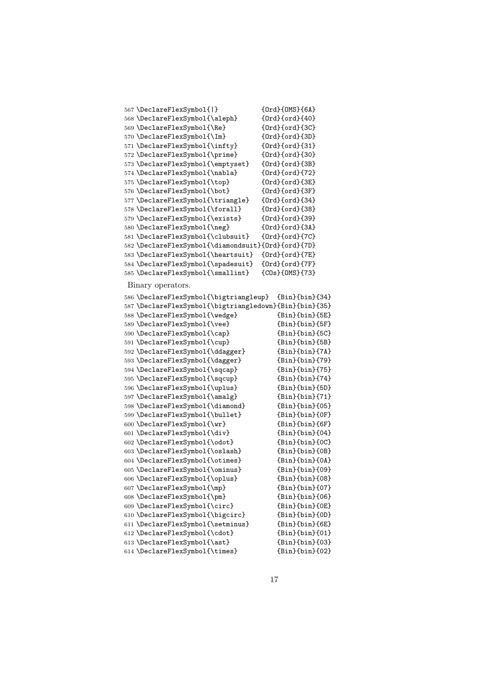| 567 \DeclareFlexSymbol{ }                          | ${Ord}{OMS}{6A}$       |
|----------------------------------------------------|------------------------|
| 568 \DeclareFlexSymbol{\aleph}                     | ${0rd}(ord){40}$       |
| 569 \DeclareFlexSymbol{\Re}                        | {Ord}{ord}{3C}         |
| 570 \DeclareFlexSymbol{\Im}                        | ${Ord}$ {Ord} ${3D}$   |
| 571 \DeclareFlexSymbol{\infty}                     | ${Ord}$ {Ord} ${31}$   |
| 572 \DeclareFlexSymbol{\prime}                     | {Ord}{ord}{30}         |
| 573 \DeclareFlexSymbol{\emptyset}                  | {Ord}{ord}{3B}         |
| 574 \DeclareFlexSymbol{\nabla}                     | {Ord}{ord}{72}         |
| 575 \DeclareFlexSymbol{\top}                       | {Ord}{ord}{3E}         |
| 576 \DeclareFlexSymbol{\bot}                       | ${Ord}$ {ord} ${3F}$   |
| 577 \DeclareFlexSymbol{\triangle}                  | ${Ord}$ {ord} ${34}$   |
| 578 \DeclareFlexSymbol{\forall}                    | {Ord}{ord}{38}         |
| 579 \DeclareFlexSymbol{\exists}                    | {Ord}{ord}{39}         |
| 580 \DeclareFlexSymbol{\neg}                       | {Ord}{ord}{3A}         |
| 581 \DeclareFlexSymbol{\clubsuit}                  | ${Ord}$ ${ord}$ ${7C}$ |
| 582 \DeclareFlexSymbol{\diamondsuit}{0rd}{ord}{7D} |                        |
| 583 \DeclareFlexSymbol{\heartsuit}                 | ${Ord}(ord){7E}$       |
| 584 \DeclareFlexSymbol{\spadesuit}                 | ${Ord}{ord}{F}$        |
| 585 \DeclareFlexSymbol{\smallint}                  | ${COs}{OMS}{F73}$      |
|                                                    |                        |

## Binary operators.

| Binary operators.                                     |                          |
|-------------------------------------------------------|--------------------------|
| 586 \DeclareFlexSymbol{\bigtriangleup}                | $\{Bin\}$ {bin} $\{34\}$ |
| 587\DeclareFlexSymbol{\bigtriangledown}{Bin}{bin}{35} |                          |
| 588 \DeclareFlexSymbol{\wedge}                        | ${Bin}$ {bin} ${5E}$ }   |
| 589 \DeclareFlexSymbol{\vee}                          | ${Bin}$ {bin}{5F}        |
| 590 \DeclareFlexSymbol{\cap}                          | ${Bin}$ {bin}{5C}        |
| 591 \DeclareFlexSymbol{\cup}                          | ${Bin}$ {bin}{5B}        |
| 592 \DeclareFlexSymbol{\ddagger}                      | ${Bin}$ {bin}{7A}        |
| 593 \DeclareFlexSymbol{\dagger}                       | ${Bin}$ {bin}{79}        |
| 594 \DeclareFlexSymbol{\sqcap}                        | ${Bin}$ {bin}{75}        |
| 595 \DeclareFlexSymbol{\sqcup}                        | ${Bin}$ {bin}{74}        |
| 596 \DeclareFlexSymbol{\uplus}                        | ${Bin}$ {bin}{5D}        |
| 597 \DeclareFlexSymbol{\amalg}                        | ${Bin}$ {bin}{71}        |
| 598 \DeclareFlexSymbol{\diamond}                      | ${Bin}$ {bin} ${05}$ }   |
| 599 \DeclareFlexSymbol{\bullet}                       | ${Bin}$ {bin} ${OF}$ }   |
| 600 \DeclareFlexSymbol{\wr}                           | ${Bin}$ {bin} ${6F}$     |
| 601 \DeclareFlexSymbol{\div}                          | $\{Bin\}$ {bin} $\{04\}$ |
| 602 \DeclareFlexSymbol{\odot}                         | ${Bin}$ {bin ${O}$ }     |
| 603 \DeclareFlexSymbol{\oslash}                       | ${Bin}$ {bin} ${OB}$ }   |
| 604 \DeclareFlexSymbol{\otimes}                       | ${Bin}$ {bin} ${0A}$     |
| 605 \DeclareFlexSymbol{\ominus}                       | $\{Bin\}$ {bin} $\{09\}$ |
| 606 \DeclareFlexSymbol{\oplus}                        | ${Bin}$ {bin} ${08}$     |
| 607 \DeclareFlexSymbol{\mp}                           | ${Bin}$ {bin}{07}        |
| 608 \DeclareFlexSymbol{\pm}                           | ${Bin}$ {bin} ${06}$ }   |
| 609 \DeclareFlexSymbol{\circ}                         | ${Bin}$ {bin} ${OE}$     |
| 610 \DeclareFlexSymbol{\bigcirc}                      | ${Bin}$ {bin} ${OD}$ }   |
| 611 \DeclareFlexSymbol{\setminus}                     | ${Bin}$ {bin} ${6E}$     |
| 612 \DeclareFlexSymbol{\cdot}                         | ${Bin}$ {bin} ${01}$ }   |
| 613 \DeclareFlexSymbol{\ast}                          | ${Bin}$ {bin} ${03}$     |
| 614 \DeclareFlexSymbol{\times}                        | $\{Bin\}$ {bin} $\{02\}$ |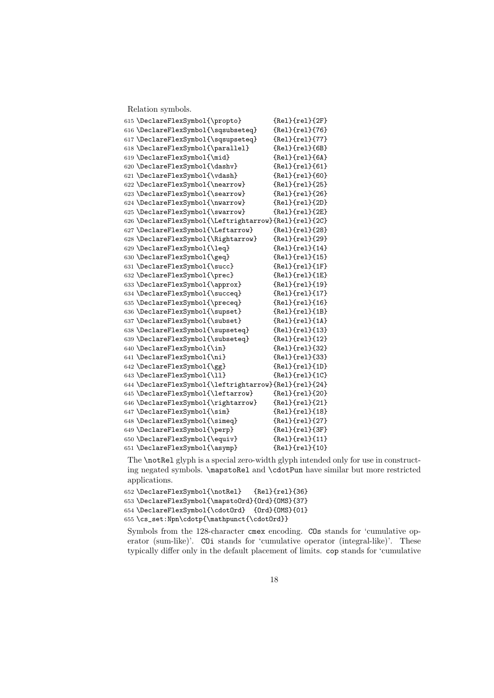Relation symbols.

| 615 \DeclareFlexSymbol{\propto}                       | ${Rel}{rel}{2F}$       |
|-------------------------------------------------------|------------------------|
| 616 \DeclareFlexSymbol{\sqsubseteq}                   | ${Rel}(rel){76}$       |
| 617 \DeclareFlexSymbol{\sqsupseteq}                   | ${Re1}$ {rel} ${77}$ } |
| 618 \DeclareFlexSymbol{\parallel}                     | ${Re1}$ {rel} ${6B}$   |
| 619 \DeclareFlexSymbol{\mid}                          | ${Rel}$ ${rel}$ ${6A}$ |
| 620 \DeclareFlexSymbol{\dashv}                        | ${Re1}$ {rel} ${61}$ } |
| 621 \DeclareFlexSymbol{\vdash}                        | ${Re1}$ {rel} ${60}$ } |
| 622 \DeclareFlexSymbol{\nearrow}                      | ${Re1}$ {rel} ${25}$   |
| 623 \DeclareFlexSymbol{\searrow}                      | ${Rel}(rel){26}$       |
| 624 \DeclareFlexSymbol{\nwarrow}                      | ${Rel}(rel){2D}$       |
| 625 \DeclareFlexSymbol{\swarrow}                      | ${Re1}{rel}{2E}$       |
| 626 \DeclareFlexSymbol{\Leftrightarrow}{Rel}{rel}{2C} |                        |
| 627 \DeclareFlexSymbol{\Leftarrow}                    | ${Rel}(rel){28}$       |
| 628 \DeclareFlexSymbol{\Rightarrow}                   | ${Rel}(rel){29}$       |
| 629 \DeclareFlexSymbol{\leq}                          | ${Re1}{rel}{14}$       |
| 630 \DeclareFlexSymbol{\geq}                          | ${Rel}(rel){15}$       |
| 631 \DeclareFlexSymbol{\succ}                         | ${Re1}{rel}{f1F}$      |
| 632 \DeclareFlexSymbol{\prec}                         | ${Re1}{rel}{1E}$       |
| 633 \DeclareFlexSymbol{\approx}                       | ${Re1}{rel}{19}$       |
| 634 \DeclareFlexSymbol{\succeq}                       | ${Re1}{rel}{17}$       |
| 635 \DeclareFlexSymbol{\preceq}                       | ${Re1}$ {rel} ${16}$   |
| 636 \DeclareFlexSymbol{\supset}                       | ${Re1}{rel}{1B}$       |
| 637 \DeclareFlexSymbol{\subset}                       | ${Re1}$ ${rel}$ ${1A}$ |
| 638 \DeclareFlexSymbol{\supseteq}                     | ${Re1}$ {rel} ${13}$   |
| 639 \DeclareFlexSymbol{\subseteq}                     | ${Re1}$ {rel} ${12}$ } |
| 640 \DeclareFlexSymbol{\in}                           | ${Rel}(rel){32}$       |
| 641 \DeclareFlexSymbol{\ni}                           | ${Re1}{rel}{33}$       |
| 642 \DeclareFlexSymbol{\gg}                           | ${Rel}{rel}{1D}$       |
| 643 \DeclareFlexSymbol{\11}                           | ${Re1}$ {rel} ${1}$ C} |
| 644 \DeclareFlexSymbol{\leftrightarrow}{Rel}{rel}{24} |                        |
| 645 \DeclareFlexSymbol{\leftarrow}                    | ${Rel}(rel){$ ${20}$   |
| 646 \DeclareFlexSymbol{\rightarrow}                   | ${Rel}(rel){21}$       |
| 647 \DeclareFlexSymbol{\sim}                          | ${Rel}(rel){18}$       |
| 648 \DeclareFlexSymbol{\simeq}                        | ${Rel}(rel){27}$       |
| 649 \DeclareFlexSymbol{\perp}                         | ${Rel}(rel){3F}$       |
| 650 \DeclareFlexSymbol{\equiv}                        | ${Rel}(rel){11}$       |
| 651 \DeclareFlexSymbol{\asymp}                        | ${Rel}(rel){10}$       |

The \notRel glyph is a special zero-width glyph intended only for use in constructing negated symbols. \mapstoRel and \cdotPun have similar but more restricted applications.

 \DeclareFlexSymbol{\notRel} {Rel}{rel}{36} \DeclareFlexSymbol{\mapstoOrd}{Ord}{OMS}{37} \DeclareFlexSymbol{\cdotOrd} {Ord}{OMS}{01} \cs\_set:Npn\cdotp{\mathpunct{\cdotOrd}}

Symbols from the 128-character cmex encoding. COs stands for 'cumulative operator (sum-like)'. COi stands for 'cumulative operator (integral-like)'. These typically differ only in the default placement of limits. cop stands for 'cumulative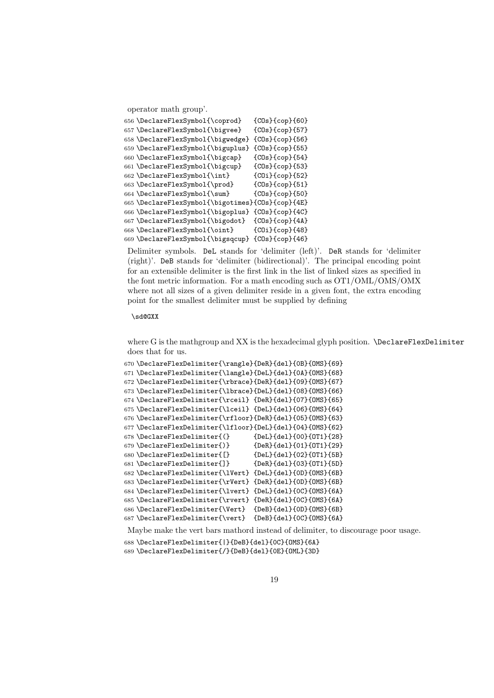operator math group'.

```
656 \DeclareFlexSymbol{\coprod} {COs}{cop}{60}
657 \DeclareFlexSymbol{\bigvee} {COs}{cop}{57}
658 \DeclareFlexSymbol{\bigwedge} {COs}{cop}{56}
659 \DeclareFlexSymbol{\biguplus} {COs}{cop}{55}
660 \DeclareFlexSymbol{\bigcap} {COs}{cop}{54}
661 \DeclareFlexSymbol{\bigcup} {COs}{cop}{53}
662 \DeclareFlexSymbol{\int} {COi}{cop}{52}
663 \DeclareFlexSymbol{\prod} {COs}{cop}{51}
664 \DeclareFlexSymbol{\sum} {COs}{cop}{50}
665 \DeclareFlexSymbol{\bigotimes}{COs}{cop}{4E}
666 \DeclareFlexSymbol{\bigoplus} {COs}{cop}{4C}
667 \DeclareFlexSymbol{\bigodot} {COs}{cop}{4A}
668 \DeclareFlexSymbol{\oint} {COi}{cop}{48}
669 \DeclareFlexSymbol{\bigsqcup} {COs}{cop}{46}
```
Delimiter symbols. DeL stands for 'delimiter (left)'. DeR stands for 'delimiter (right)'. DeB stands for 'delimiter (bidirectional)'. The principal encoding point for an extensible delimiter is the first link in the list of linked sizes as specified in the font metric information. For a math encoding such as OT1/OML/OMS/OMX where not all sizes of a given delimiter reside in a given font, the extra encoding point for the smallest delimiter must be supplied by defining

#### $\lambda$ sd@ $CXY$

where G is the mathgroup and XX is the hexadecimal glyph position. \DeclareFlexDelimiter does that for us.

```
670 \DeclareFlexDelimiter{\rangle}{DeR}{del}{0B}{OMS}{69}
671 \DeclareFlexDelimiter{\langle}{DeL}{del}{0A}{OMS}{68}
672 \DeclareFlexDelimiter{\rbrace}{DeR}{del}{09}{OMS}{67}
673 \DeclareFlexDelimiter{\lbrace}{DeL}{del}{08}{OMS}{66}
674 \DeclareFlexDelimiter{\rceil} {DeR}{del}{07}{OMS}{65}
675 \DeclareFlexDelimiter{\lceil} {DeL}{del}{06}{OMS}{64}
676 \DeclareFlexDelimiter{\rfloor}{DeR}{del}{05}{OMS}{63}
677 \DeclareFlexDelimiter{\lfloor}{DeL}{del}{04}{OMS}{62}
678 \DeclareFlexDelimiter\{()\} {DeL}{del}{00}{OT1}{28}
679 \DeclareFlexDelimiter{)} {DeR}{de1}{O1}{OT1}{OT1}680 \DeclareFlexDelimiter{[} {DeL}{del}{02}{OT1}{5B}
681 \DeclareFlexDelimiter{]} {DeR}{del}{03}{OT1}{5D}
682 \DeclareFlexDelimiter{\lVert} {DeL}{del}{0D}{OMS}{6B}
683 \DeclareFlexDelimiter{\rVert} {DeR}{del}{0D}{OMS}{6B}
684 \DeclareFlexDelimiter{\lvert} {DeL}{del}{0C}{OMS}{6A}
685 \DeclareFlexDelimiter{\rvert} {DeR}{del}{0C}{OMS}{6A}
686 \DeclareFlexDelimiter{\Vert} {DeB}{del}{0D}{OMS}{6B}
687 \DeclareFlexDelimiter{\vert} {DeB}{del}{0C}{OMS}{6A}
```
Maybe make the vert bars mathord instead of delimiter, to discourage poor usage.

```
688 \DeclareFlexDelimiter{|}{DeB}{del}{0C}{OMS}{6A}
```
\DeclareFlexDelimiter{/}{DeB}{del}{0E}{OML}{3D}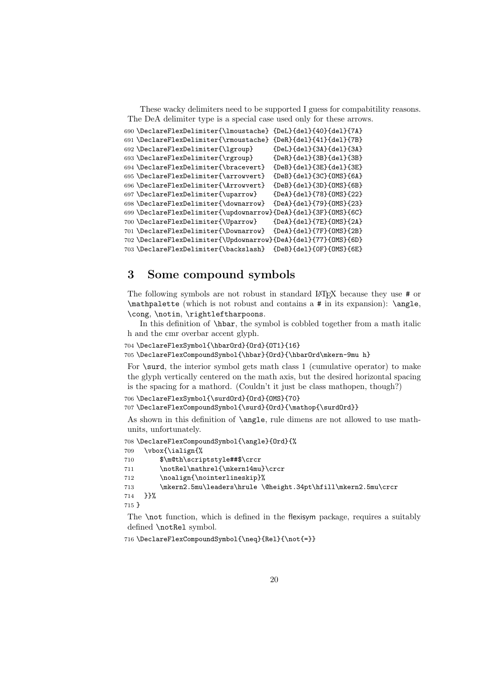These wacky delimiters need to be supported I guess for compabitility reasons. The DeA delimiter type is a special case used only for these arrows.

```
690 \DeclareFlexDelimiter{\lmoustache} {DeL}{del}{40}{del}{7A}
691 \DeclareFlexDelimiter{\rmoustache} {DeR}{del}{41}{del}{7B}
692 \DeclareFlexDelimiter{\lgroup} {DeL}{del}{3A}{del}{3A}
693 \DeclareFlexDelimiter{\rgroup} {DeR}{del}{3B}{del}{3B}
694 \DeclareFlexDelimiter{\bracevert} {DeB}{del}{3E}{del}{3E}
695 \DeclareFlexDelimiter{\arrowvert} {DeB}{del}{3C}{OMS}{6A}
696 \DeclareFlexDelimiter{\Arrowvert} {DeB}{del}{3D}{OMS}{6B}
697 \DeclareFlexDelimiter{\uparrow} {DeA}{del}{78}{OMS}{22}
698 \DeclareFlexDelimiter{\downarrow} {DeA}{del}{79}{OMS}{23}
699 \DeclareFlexDelimiter{\updownarrow}{DeA}{del}{3F}{OMS}{6C}
700 \DeclareFlexDelimiter{\Uparrow} {DeA}{del}{7E}{OMS}{2A}
701 \DeclareFlexDelimiter{\Downarrow} {DeA}{del}{7F}{OMS}{2B}
702 \DeclareFlexDelimiter{\Updownarrow}{DeA}{del}{77}{OMS}{6D}
703 \DeclareFlexDelimiter{\backslash} {DeB}{del}{0F}{OMS}{6E}
```
# 3 Some compound symbols

The following symbols are not robust in standard LATEX because they use # or \mathpalette (which is not robust and contains a # in its expansion): \angle, \cong, \notin, \rightleftharpoons.

In this definition of \hbar, the symbol is cobbled together from a math italic h and the cmr overbar accent glyph.

```
704 \DeclareFlexSymbol{\hbarOrd}{Ord}{OT1}{16}
705 \DeclareFlexCompoundSymbol{\hbar}{Ord}{\hbarOrd\mkern-9mu h}
```
For \surd, the interior symbol gets math class 1 (cumulative operator) to make the glyph vertically centered on the math axis, but the desired horizontal spacing is the spacing for a mathord. (Couldn't it just be class mathopen, though?)

```
706 \DeclareFlexSymbol{\surdOrd}{Ord}{OMS}{70}
```
707 \DeclareFlexCompoundSymbol{\surd}{Ord}{\mathop{\surdOrd}}

As shown in this definition of \angle, rule dimens are not allowed to use mathunits, unfortunately.

```
708 \DeclareFlexCompoundSymbol{\angle}{Ord}{%
709 \vbox{\ialign{%
710 $\m@th\scriptstyle##$\crcr
711 \notRel\mathrel{\mkern14mu}\crcr
712 \noalign{\nointerlineskip}%
713 \mkern2.5mu\leaders\hrule \@height.34pt\hfill\mkern2.5mu\crcr
714 }}%
715 }
```
The \not function, which is defined in the flexisym package, requires a suitably defined \notRel symbol.

716 \DeclareFlexCompoundSymbol{\neq}{Rel}{\not{=}}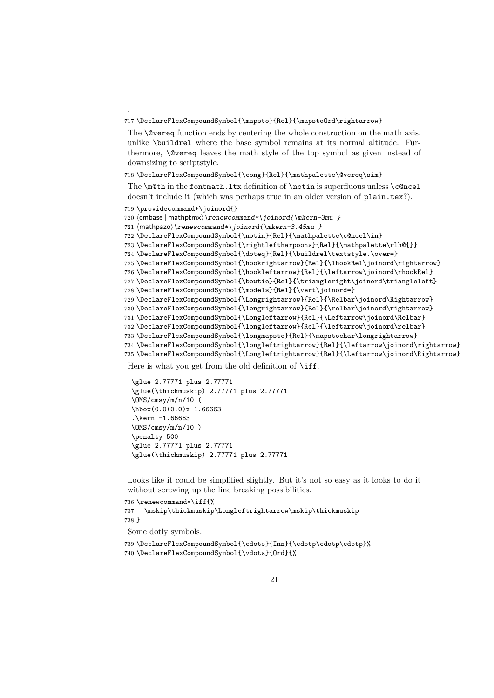#### 717 \DeclareFlexCompoundSymbol{\mapsto}{Rel}{\mapstoOrd\rightarrow}

The **\@vereq** function ends by centering the whole construction on the math axis, unlike \buildrel where the base symbol remains at its normal altitude. Furthermore, \@vereq leaves the math style of the top symbol as given instead of downsizing to scriptstyle.

#### 718 \DeclareFlexCompoundSymbol{\cong}{Rel}{\mathpalette\@vereq\sim}

The \m@th in the fontmath.ltx definition of \notin is superfluous unless \c@ncel doesn't include it (which was perhaps true in an older version of plain.tex?).

```
719 \providecommand*\joinord{}
```
.

```
720 \langle \mathsf{m} \rangle \renewcommand*\joinord{\mkern-3mu }
```
721  $\mathbb{}\$ renewcommand\*\joinord{\mkern-3.45mu }

```
722 \DeclareFlexCompoundSymbol{\notin}{Rel}{\mathpalette\c@ncel\in}
```

```
723 \DeclareFlexCompoundSymbol{\rightleftharpoons}{Rel}{\mathpalette\rlh@{}}
```

```
724 \DeclareFlexCompoundSymbol{\doteq}{Rel}{\buildrel\textstyle.\over=}
```
725 \DeclareFlexCompoundSymbol{\hookrightarrow}{Rel}{\lhookRel\joinord\rightarrow}

726 \DeclareFlexCompoundSymbol{\hookleftarrow}{Rel}{\leftarrow\joinord\rhookRel}

727 \DeclareFlexCompoundSymbol{\bowtie}{Rel}{\triangleright\joinord\triangleleft}

```
728 \DeclareFlexCompoundSymbol{\models}{Rel}{\vert\joinord=}
```
729 \DeclareFlexCompoundSymbol{\Longrightarrow}{Rel}{\Relbar\joinord\Rightarrow}

```
730 \DeclareFlexCompoundSymbol{\longrightarrow}{Rel}{\relbar\joinord\rightarrow}
```
731 \DeclareFlexCompoundSymbol{\Longleftarrow}{Rel}{\Leftarrow\joinord\Relbar} 732 \DeclareFlexCompoundSymbol{\longleftarrow}{Rel}{\leftarrow\joinord\relbar}

```
733 \DeclareFlexCompoundSymbol{\longmapsto}{Rel}{\mapstochar\longrightarrow}
```
734 \DeclareFlexCompoundSymbol{\longleftrightarrow}{Rel}{\leftarrow\joinord\rightarrow}

```
735 \DeclareFlexCompoundSymbol{\Longleftrightarrow}{Rel}{\Leftarrow\joinord\Rightarrow}
```
Here is what you get from the old definition of **\iff.** 

```
\glue 2.77771 plus 2.77771
\glue(\thickmuskip) 2.77771 plus 2.77771
\OMS/cmsy/m/n/10 (
\hbox(0.0+0.0)x-1.66663
.\kern -1.66663
\M\/cmsy/m/n/10 )
\penalty 500
\glue 2.77771 plus 2.77771
\glue(\thickmuskip) 2.77771 plus 2.77771
```
Looks like it could be simplified slightly. But it's not so easy as it looks to do it without screwing up the line breaking possibilities.

```
736 \renewcommand*\iff{%
737 \mskip\thickmuskip\Longleftrightarrow\mskip\thickmuskip
738 }
```
Some dotly symbols.

```
739 \DeclareFlexCompoundSymbol{\cdots}{Inn}{\cdotp\cdotp\cdotp}%
740 \DeclareFlexCompoundSymbol{\vdots}{Ord}{%
```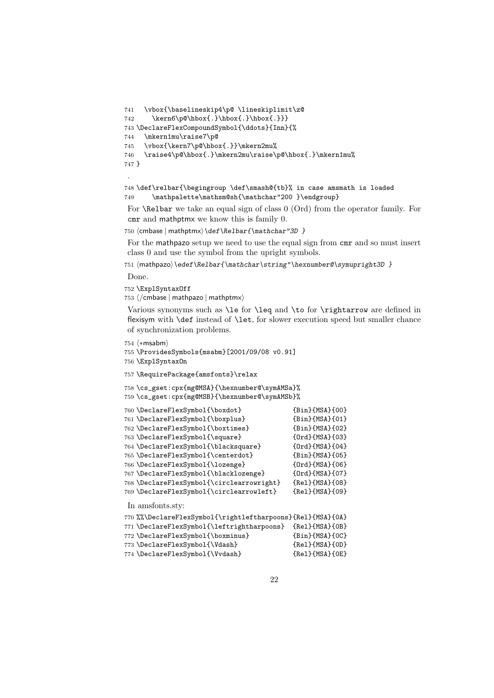```
741 \vbox{\baselineskip4\p@ \lineskiplimit\z@
742 \kern6\p@\hbox{.}\hbox{.}\hbox{.}}}
743 \DeclareFlexCompoundSymbol{\ddots}{Inn}{%
744 \mkern1mu\raise7\p@
745 \vbox{\kern7\p@\hbox{.}}\mkern2mu%
746 \raise4\p@\hbox{.}\mkern2mu\raise\p@\hbox{.}\mkern1mu%
747 }
```
.

```
748 \def\relbar{\begingroup \def\smash@{tb}% in case amsmath is loaded
749 \mathpalette\mathsm@sh{\mathchar"200 }\endgroup}
```
For \Relbar we take an equal sign of class 0 (Ord) from the operator family. For cmr and mathptmx we know this is family 0.

```
750 (cmbase | mathptmx) \def\Relbar{\mathchar"3D }
```
For the mathpazo setup we need to use the equal sign from cmr and so must insert class 0 and use the symbol from the upright symbols.

751 \mathpazo\\edef\Relbar{\mathchar\string"\hexnumber@\symupright3D }

Done.

752 \ExplSyntaxOff

753  $\langle$ /cmbase | mathpazo | mathptmx $\rangle$ 

Various synonyms such as \le for \leq and \to for \rightarrow are defined in flexisym with \def instead of \let, for slower execution speed but smaller chance of synchronization problems.

754  $\langle *msabm \rangle$ 

```
755 \ProvidesSymbols{msabm}[2001/09/08 v0.91]
```
756 \ExplSyntaxOn

```
757 \RequirePackage{amsfonts}\relax
```

```
758 \cs_gset:cpx{mg@MSA}{\hexnumber@\symAMSa}%
759 \cs_gset:cpx{mg@MSB}{\hexnumber@\symAMSb}%
```

```
760 \DeclareFlexSymbol{\boxdot} {Bin}{MSA}{00}
761 \DeclareFlexSymbol{\boxplus} {Bin}{MSA}{01}
762 \DeclareFlexSymbol{\boxtimes} {Bin}{MSA}{02}
763 \DeclareFlexSymbol{\square} {Ord}{MSA}{03}
764 \DeclareFlexSymbol{\blacksquare} {Ord}{MSA}{04}
765 \DeclareFlexSymbol{\centerdot} {Bin}{MSA}{05}
766 \DeclareFlexSymbol{\lozenge} {Ord}{MSA}{06}
767 \DeclareFlexSymbol{\blacklozenge} {Ord}{MSA}{07}
768 \DeclareFlexSymbol{\circlearrowright} {Rel}{MSA}{08}
769 \DeclareFlexSymbol{\circlearrowleft} {Rel}{MSA}{09}
In amsfonts.sty:
770 %%\DeclareFlexSymbol{\rightleftharpoons}{Rel}{MSA}{0A}
771 \DeclareFlexSymbol{\leftrightharpoons} {Rel}{MSA}{0B}<br>772 \DeclareFlexSymbol{\boxminus} {Bin}{MSA}{0C}
772 \DeclareFlexSymbol{\boxminus}
```

```
773 \DeclareFlexSymbol{\Vdash} {Rel}{MSA}{0D}
774 \DeclareFlexSymbol{\Vvdash} {Rel}{MSA}{0E}
```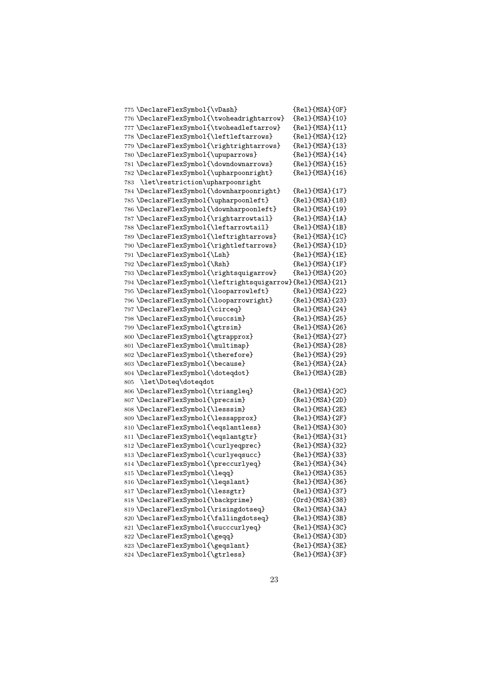|     | 775 \DeclareFlexSymbol{\vDash}                             | ${Re1}$ ${MSA}$ ${OF}$ |
|-----|------------------------------------------------------------|------------------------|
|     | 776 \DeclareFlexSymbol{\twoheadrightarrow}                 | {Rel}{MSA}{10}         |
|     | 777 \DeclareFlexSymbol{\twoheadleftarrow}                  | ${Re1}$ ${MSA}$ ${11}$ |
|     | 778 \DeclareFlexSymbol{\leftleftarrows}                    | ${Re1}$ ${MSA}$ ${12}$ |
|     | 779 \DeclareFlexSymbol{\rightrightarrows}                  | ${Re1}$ ${MSA}$ ${13}$ |
|     | 780 \DeclareFlexSymbol{\upuparrows}                        | ${Re1}$ ${MSA}$ ${14}$ |
|     | 781 \DeclareFlexSymbol{\downdownarrows}                    | ${Re1}$ ${MSA}$ ${15}$ |
|     | 782 \DeclareFlexSymbol{\upharpoonright}                    | ${Re1}$ ${MSA}$ ${16}$ |
| 783 | \let\restriction\upharpoonright                            |                        |
|     | 784 \DeclareFlexSymbol{\downharpoonright}                  | ${Re1}$ {MSA} ${17}$   |
|     | 785 \DeclareFlexSymbol{\upharpoonleft}                     | ${Re1}$ ${MSA}$ ${18}$ |
|     | 786 \DeclareFlexSymbol{\downharpoonleft}                   | ${Re1}$ ${MSA}$ ${19}$ |
|     | 787\DeclareFlexSymbol{\rightarrowtail}                     | ${Re1}$ ${MSA}$ ${1A}$ |
|     | 788 \DeclareFlexSymbol{\leftarrowtail}                     | ${Re1}$ ${MSA}$ ${1B}$ |
|     | 789 \DeclareFlexSymbol{\leftrightarrows}                   | ${Re1}$ ${MSA}$ ${1C}$ |
|     | 790 \DeclareFlexSymbol{\rightleftarrows}                   | ${Re1}$ ${MSA}$ ${1D}$ |
|     | 791 \DeclareFlexSymbol{\Lsh}                               | ${Re1}$ ${MSA}$ ${1E}$ |
|     | 792 \DeclareFlexSymbol{\Rsh}                               | ${Re1}$ ${MSA}$ ${1F}$ |
|     | 793 \DeclareFlexSymbol{\rightsquigarrow}                   | ${Re1}$ ${MSA}$ ${20}$ |
|     | 794 \DeclareFlexSymbol{\leftrightsquigarrow}{Rel}{MSA}{21} |                        |
|     | 795 \DeclareFlexSymbol{\looparrowleft}                     | ${Re1}$ ${MSA}$ ${22}$ |
|     | 796 \DeclareFlexSymbol{\looparrowright}                    | ${Re1}$ ${MSA}$ ${23}$ |
|     | 797 \DeclareFlexSymbol{\circeq}                            | ${Re1}$ {MSA} ${24}$   |
|     | 798 \DeclareFlexSymbol{\succsim}                           | ${Re1}$ ${MSA}$ ${25}$ |
|     | 799 \DeclareFlexSymbol{\gtrsim}                            | ${Re1}$ ${MSA}$ ${26}$ |
|     | 800 \DeclareFlexSymbol{\gtrapprox}                         | ${Re1}$ ${MSA}$ ${27}$ |
|     | 801 \DeclareFlexSymbol{\multimap}                          | ${Re1}$ ${MSA}$ ${28}$ |
|     | 802 \DeclareFlexSymbol{\therefore}                         | ${Re1}$ ${MSA}$ ${29}$ |
|     | 803 \DeclareFlexSymbol{\because}                           | ${Re1}$ ${MSA}$ ${2A}$ |
|     | 804 \DeclareFlexSymbol{\doteqdot}                          | ${Re1}$ ${MSA}$ ${2B}$ |
| 805 | \let\Doteq\doteqdot                                        |                        |
|     | 806 \DeclareFlexSymbol{\triangleq}                         | ${Re1}$ ${MSA}$ ${2C}$ |
|     | 807 \DeclareFlexSymbol{\precsim}                           | ${Re1}$ ${MSA}$ ${2D}$ |
|     | 808 \DeclareFlexSymbol{\lesssim}                           | ${Re1}$ ${MSA}$ ${2E}$ |
|     | 809 \DeclareFlexSymbol{\lessapprox}                        | ${Re1}$ ${MSA}$ ${2F}$ |
|     | 810 \DeclareFlexSymbol{\eqslantless}                       | ${Re1}$ ${MSA}$ ${30}$ |
|     | 811 \DeclareFlexSymbol{\eqslantgtr}                        | ${Re1}$ ${MSA}$ ${31}$ |
|     | 812 \DeclareFlexSymbol{\curlyeqprec}                       | ${Re1}$ ${MSA}$ ${32}$ |
|     | 813 \DeclareFlexSymbol{\curlyeqsucc}                       | ${Re1}$ ${MSA}$ ${33}$ |
|     | 814 \DeclareFlexSymbol{\preccurlyeq}                       | ${Re1}$ ${MSA}$ ${34}$ |
|     | 815 \DeclareFlexSymbol{\leqq}                              | ${Re1}$ {MSA} ${35}$   |
|     | 816 \DeclareFlexSymbol{\leqslant}                          | ${Re1}$ ${MSA}$ ${36}$ |
|     | 817 \DeclareFlexSymbol{\lessgtr}                           | ${Re1}$ {MSA} ${37}$   |
|     | 818 \DeclareFlexSymbol{\backprime}                         | ${Ord}$ ${MSA}$ ${38}$ |
|     | 819 \DeclareFlexSymbol{\risingdotseq}                      | ${Re1}$ ${MSA}$ ${3A}$ |
|     | 820 \DeclareFlexSymbol{\fallingdotseq}                     | ${Re1}$ ${MSA}$ ${3B}$ |
|     | 821 \DeclareFlexSymbol{\succcurlyeq}                       | ${Re1}$ ${MSA}$ ${3C}$ |
|     | 822 \DeclareFlexSymbol{\geqq}                              | ${Re1}$ ${MSA}$ ${3D}$ |
|     | 823 \DeclareFlexSymbol{\geqslant}                          | ${Re1}$ ${MSA}$ ${3E}$ |
|     | 824 \DeclareFlexSymbol{\gtrless}                           | ${Re1}$ ${MSA}$ ${3F}$ |
|     |                                                            |                        |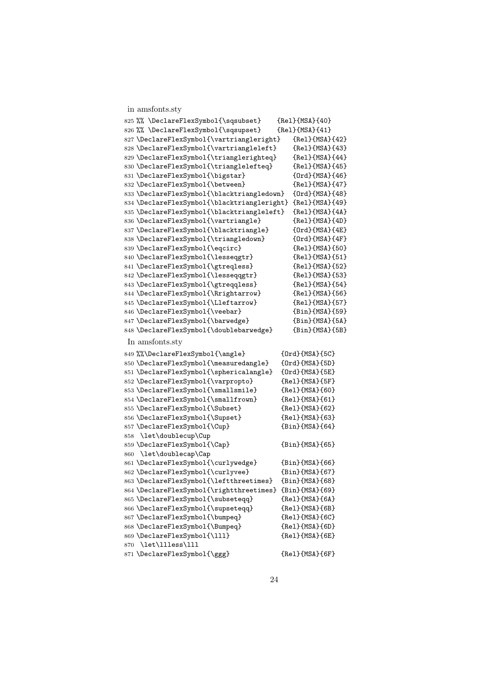|     | in amsfonts.sty                                        |                          |
|-----|--------------------------------------------------------|--------------------------|
|     | 825 %% \DeclareFlexSymbol{\sqsubset}                   | ${Re1}$ ${MSA}$ ${40}$   |
|     | 826 %% \DeclareFlexSymbol{\sqsupset}                   | ${Re1}$ {MSA} ${41}$     |
|     | 827 \DeclareFlexSymbol{\vartriangleright}              | ${Re1}$ {MSA} ${42}$     |
|     | 828 \DeclareFlexSymbol{\vartriangleleft}               | ${Re1}$ ${MSA}$ ${43}$   |
|     | 829 \DeclareFlexSymbol{\trianglerighteq}               | ${Re1}$ ${MSA}$ ${44}$   |
|     | 830 \DeclareFlexSymbol{\trianglelefteq}                | ${Re1}$ ${MSA}$ ${45}$   |
|     | 831 \DeclareFlexSymbol{\bigstar}                       | ${Ord}{MSA}{46}$         |
|     | 832 \DeclareFlexSymbol{\between}                       | ${Re1}$ {MSA} ${47}$     |
|     | 833 \DeclareFlexSymbol{\blacktriangledown}             | ${Ord}$ ${MSA}$ ${48}$   |
|     | 834 \DeclareFlexSymbol{\blacktriangleright}            | ${Re1}$ ${MSA}$ ${49}$   |
|     | 835 \DeclareFlexSymbol{\blacktriangleleft}             | ${Re1}$ ${MSA}$ ${4A}$   |
|     | 836 \DeclareFlexSymbol{\vartriangle}                   | ${Re1}$ {MSA} ${4D}$     |
|     | 837 \DeclareFlexSymbol{\blacktriangle}                 | ${Ord}{MSA}{4E}$         |
|     | 838 \DeclareFlexSymbol{\triangledown}                  | ${Ord}{MSA}{4F}$         |
|     | 839 \DeclareFlexSymbol{\eqcirc}                        | ${Re1}$ ${MSA}$ ${50}$   |
|     | 840 \DeclareFlexSymbol{\lesseqgtr}                     | ${Re1}$ ${MSA}$ ${51}$   |
|     | 841 \DeclareFlexSymbol{\gtreqless}                     | {Rel}{MSA}{52}           |
|     | 842 \DeclareFlexSymbol{\lesseqqgtr}                    | ${Re1}$ ${MSA}$ ${53}$   |
|     | 843 \DeclareFlexSymbol{\gtreqqless}                    | ${Re1}$ ${MSA}$ ${54}$   |
|     | 844 \DeclareFlexSymbol{\Rrightarrow}                   | ${Re1}$ ${MSA}$ ${56}$   |
|     | 845 \DeclareFlexSymbol{\Lleftarrow}                    | ${Re1}$ ${MSA}$ ${57}$   |
|     | 846 \DeclareFlexSymbol{\veebar}                        | ${Bin}$ {MSA}{59}        |
|     | 847 \DeclareFlexSymbol{\barwedge}                      | $\{Bin\}$ {MSA} $\{5A\}$ |
|     | 848 \DeclareFlexSymbol{\doublebarwedge}                | ${Bin}$ {MSA} ${5B}$     |
|     | In amsfonts.sty                                        |                          |
|     | 849 %%\DeclareFlexSymbol{\angle}                       | ${Ord}$ ${MSA}$ ${5C}$   |
|     | 850 \DeclareFlexSymbol{\measuredangle}                 | ${Ord}{MSA}{S.D}$        |
|     | 851 \DeclareFlexSymbol{\sphericalangle}                | ${Ord}{MSA}{SEB}$        |
|     | 852 \DeclareFlexSymbol{\varpropto}                     | ${Re1}$ ${MSA}$ ${5F}$   |
|     | 853 \DeclareFlexSymbol{\smallsmile}                    | {Rel}{MSA}{60}           |
|     | 854 \DeclareFlexSymbol{\smallfrown}                    | ${Re1}$ ${MSA}$ ${61}$   |
|     | 855 \DeclareFlexSymbol{\Subset}                        | ${Re1}$ ${MSA}$ ${62}$   |
|     | 856 \DeclareFlexSymbol{\Supset}                        | ${Re1}$ {MSA} ${63}$     |
|     | 857 \DeclareFlexSymbol{\Cup}                           | ${Bin}$ {MSA}{64}        |
|     | 858 \let\doublecup\Cup                                 |                          |
|     | 859 \DeclareFlexSymbol{\Cap}<br>860 \let\doublecap\Cap | ${Bin}$ {MSA} ${65}$     |
|     | 861 \DeclareFlexSymbol{\curlywedge}                    | ${Bin}$ {MSA} ${66}$ }   |
|     | 862 \DeclareFlexSymbol{\curlyvee}                      | ${Bin}$ {MSA}{67}        |
|     | 863 \DeclareFlexSymbol{\leftthreetimes}                | {Bin}{MSA}{68}           |
|     | 864 \DeclareFlexSymbol{\rightthreetimes}               | ${Bin}$ {MSA} ${69}$     |
|     | 865 \DeclareFlexSymbol{\subseteqq}                     | ${Re1}$ ${MSA}$ ${6A}$   |
|     | 866 \DeclareFlexSymbol{\supseteqq}                     | ${Re1}$ ${MSA}$ ${GB}$   |
|     | 867 \DeclareFlexSymbol{\bumpeq}                        | ${Re1}$ ${MSA}$ ${6C}$   |
|     | 868 \DeclareFlexSymbol{\Bumpeq}                        | ${Re1}$ ${MSA}$ ${6D}$   |
|     | 869 \DeclareFlexSymbol{\111}                           | ${Re1}$ ${MSA}$ ${6E}$   |
| 870 | \let\llless\lll                                        |                          |
|     | 871 \DeclareFlexSymbol{\ggg}                           | ${Re1}$ ${MSA}$ ${GF}$   |
|     |                                                        |                          |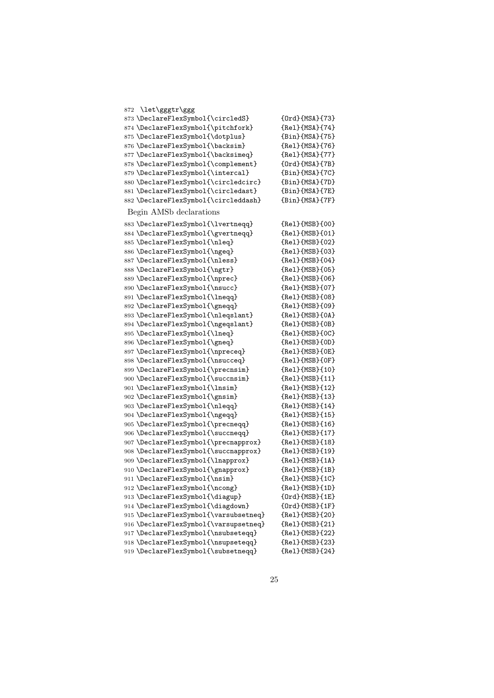| 872 \let\gggtr\ggg                    |                        |
|---------------------------------------|------------------------|
| 873 \DeclareFlexSymbol{\circledS}     | ${Ord}$ ${MSA}$ ${73}$ |
| 874 \DeclareFlexSymbol{\pitchfork}    | ${Re1}$ ${MSA}$ ${74}$ |
| 875 \DeclareFlexSymbol{\dotplus}      | ${Bin}$ {MSA}{75}      |
| 876 \DeclareFlexSymbol{\backsim}      | ${Re1}$ ${MSA}$ ${76}$ |
| 877 \DeclareFlexSymbol{\backsimeq}    | ${Re1}$ {MSA} ${77}$ } |
| 878 \DeclareFlexSymbol{\complement}   | ${Ord}{MSA}{S7B}$      |
| 879 \DeclareFlexSymbol{\intercal}     | ${Bin}$ {MSA}{7C}      |
| 880 \DeclareFlexSymbol{\circledcirc}  | ${Bin}$ {MSA}{7D}      |
| 881\DeclareFlexSymbol{\circledast}    | ${Bin}$ {MSA}{7E}      |
| 882 \DeclareFlexSymbol{\circleddash}  | ${Bin}$ {MSA}{7F}      |
|                                       |                        |
| Begin AMSb declarations               |                        |
| 883 \DeclareFlexSymbol{\lvertneqq}    | {Rel}{MSB}{00}         |
| 884 \DeclareFlexSymbol{\gvertneqq}    | ${Re1}$ {MSB} ${01}$   |
| 885 \DeclareFlexSymbol{\nleq}         | ${Re1}$ {MSB} ${O2}$ } |
| 886 \DeclareFlexSymbol{\ngeq}         | {Rel}{MSB}{03}         |
| 887\DeclareFlexSymbol{\nless}         | ${Re1}$ {MSB} ${O4}$   |
| 888 \DeclareFlexSymbol{\ngtr}         | ${Re1}$ ${MSB}$ ${O5}$ |
| 889 \DeclareFlexSymbol{\nprec}        | ${Re1}$ {MSB} ${06}$ } |
| 890 \DeclareFlexSymbol{\nsucc}        | {Rel}{MSB}{07}         |
| 891 \DeclareFlexSymbol{\lneqq}        | ${Re1}$ {MSB} ${O8}$   |
| 892 \DeclareFlexSymbol{\gneqq}        | {Rel}{MSB}{09}         |
| 893 \DeclareFlexSymbol{\nleqslant}    | ${Re1}$ ${MSB}$ ${OA}$ |
| 894 \DeclareFlexSymbol{\ngeqslant}    | ${Re1}$ ${MSB}{OB}$    |
| 895 \DeclareFlexSymbol{\lneq}         | ${Re1}$ ${MSB}$ ${OC}$ |
| 896 \DeclareFlexSymbol{\gneq}         | ${Re1}$ ${MSB}{OD}$    |
| 897 \DeclareFlexSymbol{\npreceq}      | ${Re1}$ ${MSB}$ ${OE}$ |
| 898 \DeclareFlexSymbol{\nsucceq}      | ${Re1}$ ${MSB}$ ${OF}$ |
| 899 \DeclareFlexSymbol{\precnsim}     | ${Re1}$ {MSB} ${10}$ } |
| 900 \DeclareFlexSymbol{\succnsim}     | ${Re1}$ {MSB} ${11}$ } |
| 901 \DeclareFlexSymbol{\lnsim}        | ${Re1}$ {MSB} ${12}$   |
| 902 \DeclareFlexSymbol{\gnsim}        | ${Re1}$ {MSB} ${13}$   |
| 903 \DeclareFlexSymbol{\nleqq}        | ${Re1}$ {MSB} ${14}$ } |
| 904 \DeclareFlexSymbol{\ngeqq}        | ${Re1}$ {MSB} ${15}$   |
| 905 \DeclareFlexSymbol{\precneqq}     | ${Re1}$ {MSB} ${16}$ } |
| 906 \DeclareFlexSymbol{\succneqq}     | ${Re1}$ {MSB} ${17}$   |
| 907 \DeclareFlexSymbol{\precnapprox}  | ${Re1}$ {MSB} ${18}$ } |
| 908 \DeclareFlexSymbol{\succnapprox}  | ${Re1}$ {MSB} ${19}$   |
| 909 \DeclareFlexSymbol{\lnapprox}     | ${Re1}$ ${MSB}{1A}$    |
| 910 \DeclareFlexSymbol{\gnapprox}     | ${Re1}$ {MSB} ${1B}$   |
| 911 \DeclareFlexSymbol{\nsim}         | ${Re1}{MSB}{1C}$       |
| 912 \DeclareFlexSymbol{\ncong}        | ${Re1}$ ${MSB}{1D}$    |
| 913 \DeclareFlexSymbol{\diagup}       | ${Ord}{MSB}{1E}$       |
| 914 \DeclareFlexSymbol{\diagdown}     | ${Ord}{MSB}{f1F}$      |
| 915 \DeclareFlexSymbol{\varsubsetneq} | ${Re1}$ {MSB} ${20}$ } |
| 916 \DeclareFlexSymbol{\varsupsetneq} | ${Re1}$ {MSB} ${21}$   |
| 917 \DeclareFlexSymbol{\nsubseteqq}   | ${Re1}$ ${MSB}$ ${22}$ |
| 918 \DeclareFlexSymbol{\nsupseteqq}   | ${Re1}$ ${MSB}$ ${23}$ |
| 919 \DeclareFlexSymbol{\subsetneqq}   | ${Re1}$ ${MSB}$ ${24}$ |
|                                       |                        |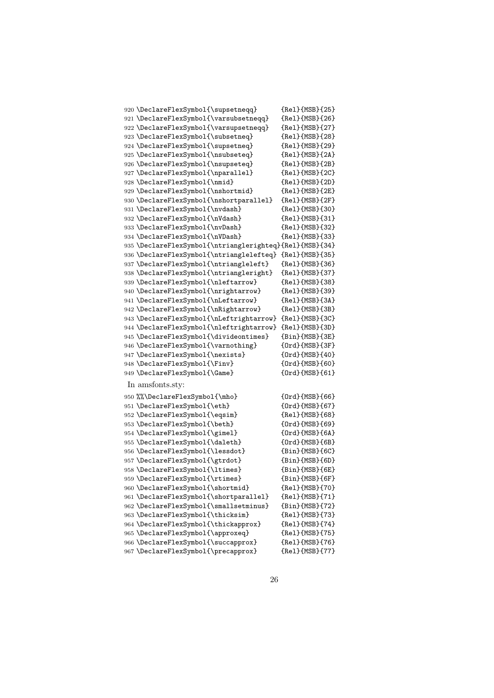| 920 \DeclareFlexSymbol{\supsetneqq}                     | ${Re1}$ ${MSB}$ ${25}$ |
|---------------------------------------------------------|------------------------|
| 921 \DeclareFlexSymbol{\varsubsetneqq}                  | ${Re1}$ {MSB} ${26}$   |
| 922 \DeclareFlexSymbol{\varsupsetneqq}                  | ${Re1}$ {MSB} ${27}$   |
| 923 \DeclareFlexSymbol{\subsetneq}                      | ${Re1}$ {MSB} ${28}$   |
| 924 \DeclareFlexSymbol{\supsetneq}                      | ${Re1}$ {MSB} ${29}$   |
| 925 \DeclareFlexSymbol{\nsubseteq}                      | ${Re1}$ ${MSB}{2A}$    |
| 926 \DeclareFlexSymbol{\nsupseteq}                      | ${Re1}$ ${MSB}{2B}$    |
| 927 \DeclareFlexSymbol{\nparallel}                      | ${Re1}$ {MSB} ${2C}$ } |
| 928 \DeclareFlexSymbol{\nmid}                           | {Rel}{MSB}{2D}         |
| 929 \DeclareFlexSymbol{\nshortmid}                      | ${Re1}$ {MSB} ${2E}$   |
| 930 \DeclareFlexSymbol{\nshortparallel}                 | ${Re1}$ ${MSB}{2F}$    |
| 931 \DeclareFlexSymbol{\nvdash}                         | ${Re1}$ ${MSB}{30}$    |
| 932 \DeclareFlexSymbol{\nVdash}                         | ${Re1}$ {MSB} ${31}$   |
| 933 \DeclareFlexSymbol{\nvDash}                         | ${Re1}{MSB}{32}$       |
| 934 \DeclareFlexSymbol{\nVDash}                         | {Rel}{MSB}{33}         |
| 935 \DeclareFlexSymbol{\ntrianglerighteq}{Rel}{MSB}{34} |                        |
| 936 \DeclareFlexSymbol{\ntrianglelefteq}                | ${Re1}$ ${MSB}{35}$    |
| 937 \DeclareFlexSymbol{\ntriangleleft}                  | ${Re1}$ {MSB} ${36}$ } |
| 938 \DeclareFlexSymbol{\ntriangleright}                 | ${Re1}$ {MSB} ${37}$   |
| 939 \DeclareFlexSymbol{\nleftarrow}                     | {Rel}{MSB}{38}         |
| 940 \DeclareFlexSymbol{\nrightarrow}                    | {Rel}{MSB}{39}         |
| 941 \DeclareFlexSymbol{\nLeftarrow}                     | ${Re1}$ ${MSB}{3A}$    |
| 942 \DeclareFlexSymbol{\nRightarrow}                    | ${Re1}$ ${MSB}{3B}$    |
| 943 \DeclareFlexSymbol{\nLeftrightarrow}                | ${Re1}$ ${MSB}{3C}$    |
| 944 \DeclareFlexSymbol{\nleftrightarrow}                | ${Re1}$ ${MSB}{3D}$    |
| 945 \DeclareFlexSymbol{\divideontimes}                  | ${Bin}$ {MSB} ${3E}$   |
| 946 \DeclareFlexSymbol{\varnothing}                     | ${Ord}$ ${MSB}{3F}$    |
| 947 \DeclareFlexSymbol{\nexists}                        | {Ord}{MSB}{40}         |
| 948 \DeclareFlexSymbol{\Finv}                           | ${Ord}$ ${MSB}$ ${60}$ |
| 949 \DeclareFlexSymbol{\Game}                           | ${Ord}$ ${MSB}$ ${61}$ |
| In amsfonts.sty:                                        |                        |
| 950 %%\DeclareFlexSymbol{\mho}                          | ${Ord}$ ${MSB}$ ${66}$ |
| 951 \DeclareFlexSymbol{\eth}                            | ${Ord}$ ${MSB}$ ${67}$ |
| 952 \DeclareFlexSymbol{\eqsim}                          | ${Re1}$ {MSB} ${68}$ } |
| 953 \DeclareFlexSymbol{\beth}                           | ${Ord}$ ${MSB}$ ${69}$ |
| 954 \DeclareFlexSymbol{\gimel}                          | ${Ord}$ ${MSB}$ ${6A}$ |
| 955 \DeclareFlexSymbol{\daleth}                         | ${Ord}$ ${MSB}$ ${6B}$ |
| 956 \DeclareFlexSymbol{\lessdot}                        | ${Bin}$ ${MSB}$ ${GC}$ |
| 957 \DeclareFlexSymbol{\gtrdot}                         | ${Bin}$ {MSB} ${6D}$ } |
| 958 \DeclareFlexSymbol{\ltimes}                         | ${Bin}$ {MSB} ${6E}$   |
| 959 \DeclareFlexSymbol{\rtimes}                         | ${Bin}$ {MSB} ${6F}$   |
| 960 \DeclareFlexSymbol{\shortmid}                       | ${Re1}$ ${MSB}{70}$    |
| 961 \DeclareFlexSymbol{\shortparallel}                  | ${Re1}$ {MSB} ${71}$   |
| 962 \DeclareFlexSymbol{\smallsetminus}                  | ${Bin}$ {MSB} ${72}$ } |
| 963 \DeclareFlexSymbol{\thicksim}                       | {Rel}{MSB}{73}         |
| 964 \DeclareFlexSymbol{\thickapprox}                    | ${Re1}$ {MSB} ${74}$   |
| 965 \DeclareFlexSymbol{\approxeq}                       | ${Re1}$ ${MSB}{75}$    |
| 966 \DeclareFlexSymbol{\succapprox}                     | ${Re1}$ ${MSB}$ ${76}$ |
| 967 \DeclareFlexSymbol{\precapprox}                     | {Rel}{MSB}{77}         |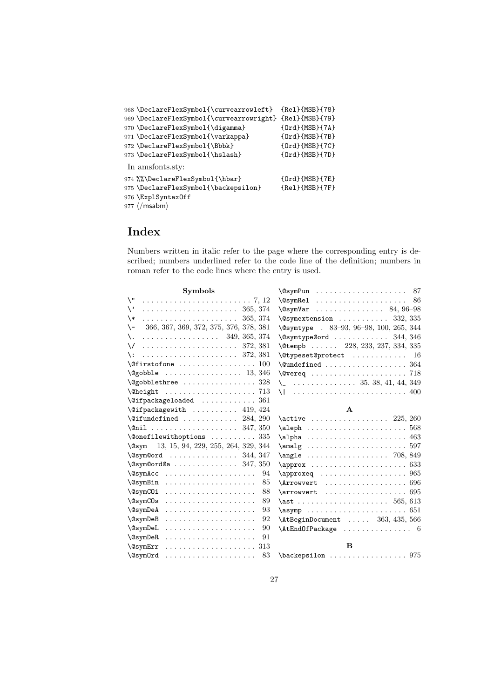| 968 \DeclareFlexSymbol{\curvearrowleft}  | ${Re1}$ ${MSB}$ ${78}$ |
|------------------------------------------|------------------------|
| 969 \DeclareFlexSymbol{\curvearrowright} | ${Re1}$ {MSB} ${79}$ } |
| 970 \DeclareFlexSymbol{\digamma}         | ${Ord}$ ${MSB}{7A}$    |
| 971 \DeclareFlexSymbol{\varkappa}        | ${Ord}{MSB}{7B}$       |
| 972 \DeclareFlexSymbol{\Bbbk}            | ${Ord}$ ${MSB}$ ${7C}$ |
| 973 \DeclareFlexSymbol{\hslash}          | ${Ord}{MSB}{S7D}$      |
| In amsfonts.sty:                         |                        |
| 974 %%\DeclareFlexSymbol{\hbar}          | ${Ord}{MSB}{STE}$      |
| 975 \DeclareFlexSymbol{\backepsilon}     | ${Re1}$ ${MSB}{7F}$    |
| 976 \ExplSyntaxOff                       |                        |
| $977 \; \langle / \text{msabm} \rangle$  |                        |

# Index

Numbers written in italic refer to the page where the corresponding entry is described; numbers underlined refer to the code line of the definition; numbers in roman refer to the code lines where the entry is used.

| <b>Symbols</b>                                                                  | $\sqrt{e}$ symPun 87                              |
|---------------------------------------------------------------------------------|---------------------------------------------------|
| $\setminus$ "                                                                   | $\sqrt{c}$ sym $\text{Re}1$<br>86                 |
| $\setminus$                                                                     | $\sqrt{9}$ symVar 84, 96-98                       |
| \*                                                                              | $\sqrt{Q}$ symextension  332, 335                 |
| 366, 367, 369, 372, 375, 376, 378, 381<br>$\setminus$ -                         | $\sqrt{9}$ Csymtype . 83-93, 96-98, 100, 265, 344 |
| $\cdots \cdots \cdots \cdots \cdots \cdots$ 349, 365, 374<br>\.                 | $\sqrt{9}$ aymtype @ord  344, 346                 |
| $\sqrt{ }$                                                                      | \@tempb  228, 233, 237, 334, 335                  |
| \:                                                                              | $\texttt{\textbackslash}$ expeset@protect  16     |
| $\setminus$ Cfirstofone  100                                                    | $\\$                                              |
|                                                                                 |                                                   |
| \@gobblethree  328                                                              | $\setminus$ 35, 38, 41, 44, 349                   |
|                                                                                 | \1  400                                           |
| $\sqrt{9}$ ifpackageloaded  361                                                 |                                                   |
| $\left\{ \text{Qifpackage with } \ldots \ldots \ldots \right. 419,424 \right\}$ | $\mathbf{A}$                                      |
| $\text{^\{0}$ ifundefined $284, 290$                                            | $\text{active}$ 225, 260                          |
| $\text{Onil } \ldots \ldots \ldots \ldots \ldots 347, 350$                      |                                                   |
| $\{\text{Onefilewithoptions} \dots \dots \dots \ 335$                           | $\alpha$ 463                                      |
| 13, 15, 94, 229, 255, 264, 329, 344<br>Qsym                                     |                                                   |
| $\gamma$ \esymeord  344, 347                                                    | \angle  708, 849                                  |
| $\sqrt{g}$ sym@ord@a  347, 350                                                  |                                                   |
| $\sqrt{e}$ sym $Acc$<br>94                                                      |                                                   |
| \@symBin<br>85                                                                  | $\Lambda$ rrowvert  696                           |
| 88<br><b>\@symCOi</b>                                                           |                                                   |
| $\cos ymC0s$<br>89                                                              |                                                   |
| 93<br><b>\@symDeA</b>                                                           | 651                                               |
| 92<br><b>\@symDeB</b>                                                           | $\Lambda$ tBeginDocument  363, 435, 566           |
| 90<br>$\&$ sym $DeL$                                                            | $\Lambda$ tEndOfPackage  6                        |
| $\sqrt{Q}$ sym $DeR$<br>91                                                      |                                                   |
| <b>\@symErr</b>                                                                 | <sub>B</sub>                                      |
| 83                                                                              | $\backslash$ backepsilon  975                     |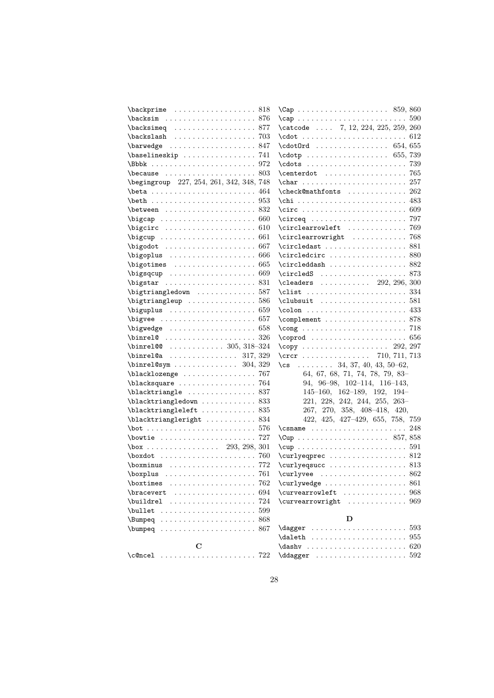| $\backslash$ backprime  818                                                                                                                                                                                                                                                                                                                                                       |     |                                                                                                    |
|-----------------------------------------------------------------------------------------------------------------------------------------------------------------------------------------------------------------------------------------------------------------------------------------------------------------------------------------------------------------------------------|-----|----------------------------------------------------------------------------------------------------|
| \backsim  876                                                                                                                                                                                                                                                                                                                                                                     |     |                                                                                                    |
| $\backslash$ backsimeq  877                                                                                                                                                                                                                                                                                                                                                       |     | \catcode  7, 12, 224, 225, 259, 260                                                                |
| $\backslash$ backslash  703                                                                                                                                                                                                                                                                                                                                                       |     |                                                                                                    |
| $\bar{2}$                                                                                                                                                                                                                                                                                                                                                                         |     | $\cdot$ cdot0rd  654, 655                                                                          |
| \baselineskip  741                                                                                                                                                                                                                                                                                                                                                                |     | $\cdot$ $(655, 739)$                                                                               |
|                                                                                                                                                                                                                                                                                                                                                                                   |     |                                                                                                    |
| $\beta$ . $\beta$ . $\beta$ . $\beta$ . $\beta$ . $\beta$ . $\beta$ . $\beta$ . $\beta$ . $\beta$ . $\beta$ . $\beta$ . $\beta$ . $\beta$ . $\beta$ . $\beta$ . $\beta$ . $\beta$ . $\beta$ . $\beta$ . $\beta$ . $\beta$ . $\beta$ . $\beta$ . $\beta$ . $\beta$ . $\beta$ . $\beta$ . $\beta$ . $\beta$ . $\beta$ . $\beta$ . $\beta$ . $\beta$ . $\beta$ . $\beta$ . $\beta$ . |     | $\centerdot \ \ldots \ldots \ldots \ldots \ 765$                                                   |
| \begingroup 227, 254, 261, 342, 348, 748                                                                                                                                                                                                                                                                                                                                          |     | $\char`>char 257$                                                                                  |
|                                                                                                                                                                                                                                                                                                                                                                                   |     | \check@mathfonts  262                                                                              |
|                                                                                                                                                                                                                                                                                                                                                                                   |     |                                                                                                    |
|                                                                                                                                                                                                                                                                                                                                                                                   |     |                                                                                                    |
|                                                                                                                                                                                                                                                                                                                                                                                   |     |                                                                                                    |
|                                                                                                                                                                                                                                                                                                                                                                                   |     | $\circ$ learrowleft  769                                                                           |
|                                                                                                                                                                                                                                                                                                                                                                                   |     | \circlearrowright  768                                                                             |
|                                                                                                                                                                                                                                                                                                                                                                                   |     |                                                                                                    |
| \bigoplus  666                                                                                                                                                                                                                                                                                                                                                                    |     | $\circledcirc \ldots \ldots \ldots \ldots \ 880$                                                   |
|                                                                                                                                                                                                                                                                                                                                                                                   |     | $\texttt{{\char'134}ccircleddash}$ $882$                                                           |
|                                                                                                                                                                                                                                                                                                                                                                                   |     |                                                                                                    |
|                                                                                                                                                                                                                                                                                                                                                                                   |     | \cleaders $ \dots 292, 296, 300$                                                                   |
| \bigtriangledown  587                                                                                                                                                                                                                                                                                                                                                             |     |                                                                                                    |
| \bigtriangleup  586                                                                                                                                                                                                                                                                                                                                                               |     |                                                                                                    |
| $\big\{$                                                                                                                                                                                                                                                                                                                                                                          |     |                                                                                                    |
| $\big\{\n  big \vee con \ldots \ldots \ldots \ldots \ldots \ldots \big\}$                                                                                                                                                                                                                                                                                                         |     | $\text{Component} \dots \dots \dots \dots \dots \ 878$                                             |
| $\big\{\n  bigwe \n  ge \n  1 \n  1 \n  1 \n  1 \n  1 \n  1 \n  1 \n  1 \n  1 \n  1 \n  1 \n  1 \n  1 \n  1 \n  1 \n  1 \n  1 \n  1 \n  1 \n  $                                                                                                                                                                                                                                   |     | $\text{Comp } \dots \dots \dots \dots \dots \dots \dots \dots \dots$                               |
|                                                                                                                                                                                                                                                                                                                                                                                   |     |                                                                                                    |
| \binrel@  305, 318-324                                                                                                                                                                                                                                                                                                                                                            |     | $\text{Copy } \ldots \ldots \ldots \ldots \ldots 292, 297$                                         |
| $\binom{317}{329}$                                                                                                                                                                                                                                                                                                                                                                |     | $\circr$ 710, 711, 713                                                                             |
| $\binom{304}{329}$                                                                                                                                                                                                                                                                                                                                                                |     | \cs $\ldots$ 34, 37, 40, 43, 50-62,                                                                |
| \blacklozenge  767                                                                                                                                                                                                                                                                                                                                                                |     | 64, 67, 68, 71, 74, 78, 79, 83-                                                                    |
| \blacksquare  764                                                                                                                                                                                                                                                                                                                                                                 |     | $94, 96-98, 102-114, 116-143,$                                                                     |
|                                                                                                                                                                                                                                                                                                                                                                                   |     | $145-160, 162-189, 192, 194-$                                                                      |
| $\verb+\blacktriangle+ and \verb+ledown + \verb++.\ldots + 833+$                                                                                                                                                                                                                                                                                                                  |     | $221, 228, 242, 244, 255, 263-$                                                                    |
|                                                                                                                                                                                                                                                                                                                                                                                   |     | 267, 270, 358, 408-418, 420,                                                                       |
| \blacktriangleright  834                                                                                                                                                                                                                                                                                                                                                          |     | 422, 425, 427-429, 655, 758, 759                                                                   |
| $\bot 576$                                                                                                                                                                                                                                                                                                                                                                        |     | $\cosh 248$                                                                                        |
| \bowtie  727                                                                                                                                                                                                                                                                                                                                                                      |     |                                                                                                    |
| $\text{box}$ 293, 298, 301                                                                                                                                                                                                                                                                                                                                                        |     | $\cup$ $\cup$ $\ldots$ $\ldots$ $\ldots$ $\ldots$ $\ldots$ $\ldots$ $\ldots$ $\ldots$ $\ldots$ 591 |
| $\text{boxdot} \dots \dots \dots \dots \dots \dots \dots$                                                                                                                                                                                                                                                                                                                         |     | \curlyeqprec  812                                                                                  |
|                                                                                                                                                                                                                                                                                                                                                                                   |     | $\curlyeq$                                                                                         |
| \boxplus  761                                                                                                                                                                                                                                                                                                                                                                     |     |                                                                                                    |
| $\text{boxtimes} \dots \dots \dots \dots \dots \ 762$                                                                                                                                                                                                                                                                                                                             |     | $\curlyeqright$                                                                                    |
|                                                                                                                                                                                                                                                                                                                                                                                   | 694 | \curvearrowleft  968                                                                               |
| . 724<br>\buildrel                                                                                                                                                                                                                                                                                                                                                                |     | \curvearrowright  969                                                                              |
|                                                                                                                                                                                                                                                                                                                                                                                   |     |                                                                                                    |
| $\text{Bumped} \dots \dots \dots \dots \dots \dots \dots \ 868$                                                                                                                                                                                                                                                                                                                   |     | D                                                                                                  |
| $\text{bumped} \dots \dots \dots \dots \dots \dots \dots \ 867$                                                                                                                                                                                                                                                                                                                   |     |                                                                                                    |
|                                                                                                                                                                                                                                                                                                                                                                                   |     |                                                                                                    |
| C                                                                                                                                                                                                                                                                                                                                                                                 |     |                                                                                                    |
| $\c{$ ence1     722}                                                                                                                                                                                                                                                                                                                                                              |     |                                                                                                    |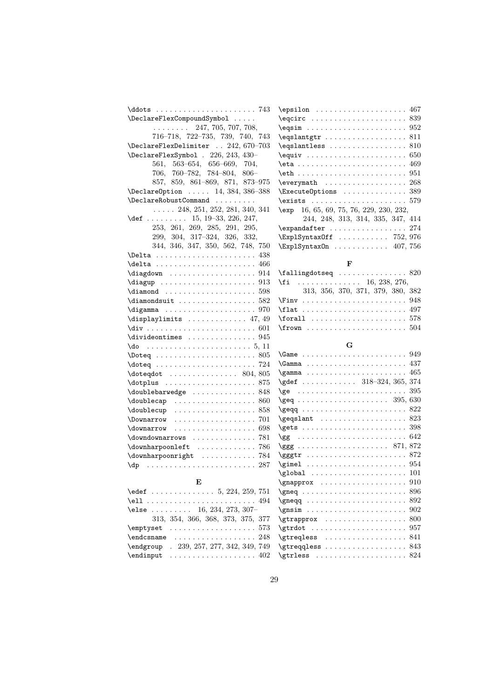| \epsilon                                                                                                                                                                                                                                                                                                                                                                                                                                                                                                                                                               |
|------------------------------------------------------------------------------------------------------------------------------------------------------------------------------------------------------------------------------------------------------------------------------------------------------------------------------------------------------------------------------------------------------------------------------------------------------------------------------------------------------------------------------------------------------------------------|
| \eqcirc                                                                                                                                                                                                                                                                                                                                                                                                                                                                                                                                                                |
| $\begin{bmatrix} \texttt{eqsim} \dots \dots \end{bmatrix}$                                                                                                                                                                                                                                                                                                                                                                                                                                                                                                             |
| $\equiv \ldots$                                                                                                                                                                                                                                                                                                                                                                                                                                                                                                                                                        |
| \eqslantless                                                                                                                                                                                                                                                                                                                                                                                                                                                                                                                                                           |
| $\equiv \ldots$                                                                                                                                                                                                                                                                                                                                                                                                                                                                                                                                                        |
| $\eta : \ldots : \ldots$                                                                                                                                                                                                                                                                                                                                                                                                                                                                                                                                               |
| $\eth \ldots \ldots$                                                                                                                                                                                                                                                                                                                                                                                                                                                                                                                                                   |
| \everymath                                                                                                                                                                                                                                                                                                                                                                                                                                                                                                                                                             |
| \Execute0ptions                                                                                                                                                                                                                                                                                                                                                                                                                                                                                                                                                        |
| $\exists$                                                                                                                                                                                                                                                                                                                                                                                                                                                                                                                                                              |
| $\exp$ 16, 65, 69, 7                                                                                                                                                                                                                                                                                                                                                                                                                                                                                                                                                   |
| 244, 248,                                                                                                                                                                                                                                                                                                                                                                                                                                                                                                                                                              |
| \expandafter                                                                                                                                                                                                                                                                                                                                                                                                                                                                                                                                                           |
| \ExplSyntax0ff                                                                                                                                                                                                                                                                                                                                                                                                                                                                                                                                                         |
| \ExplSyntax0n .                                                                                                                                                                                                                                                                                                                                                                                                                                                                                                                                                        |
|                                                                                                                                                                                                                                                                                                                                                                                                                                                                                                                                                                        |
|                                                                                                                                                                                                                                                                                                                                                                                                                                                                                                                                                                        |
| \fallingdotseq                                                                                                                                                                                                                                                                                                                                                                                                                                                                                                                                                         |
| $\sim$<br>\fi                                                                                                                                                                                                                                                                                                                                                                                                                                                                                                                                                          |
| 313, 356,                                                                                                                                                                                                                                                                                                                                                                                                                                                                                                                                                              |
| $\lvert$ Fin $v$                                                                                                                                                                                                                                                                                                                                                                                                                                                                                                                                                       |
| $\left\{ \left\vert \right. \right. \right. \left\{ \left. \right. \right. \left. \right. \left. \right. \right. \left. \right. \left. \right. \left. \right. \left. \right. \left. \right. \left. \right. \left. \right. \left. \right. \left. \right. \left. \right. \left. \right. \left. \right. \left. \right. \left. \right. \left. \right. \right. \left. \right. \left. \right. \left. \right. \left. \right. \left. \right. \left. \right. \left. \right. \left. \right. \left. \right. \left. \right. \left. \right. \left. \right. \left. \right. \left. \$ |
|                                                                                                                                                                                                                                                                                                                                                                                                                                                                                                                                                                        |
| $\frac{1}{1}$                                                                                                                                                                                                                                                                                                                                                                                                                                                                                                                                                          |
|                                                                                                                                                                                                                                                                                                                                                                                                                                                                                                                                                                        |
|                                                                                                                                                                                                                                                                                                                                                                                                                                                                                                                                                                        |
|                                                                                                                                                                                                                                                                                                                                                                                                                                                                                                                                                                        |
| \Gamma                                                                                                                                                                                                                                                                                                                                                                                                                                                                                                                                                                 |
| \gamma                                                                                                                                                                                                                                                                                                                                                                                                                                                                                                                                                                 |
|                                                                                                                                                                                                                                                                                                                                                                                                                                                                                                                                                                        |
| $\{ge \ldots \ldots$                                                                                                                                                                                                                                                                                                                                                                                                                                                                                                                                                   |
|                                                                                                                                                                                                                                                                                                                                                                                                                                                                                                                                                                        |
| $\geqslant$ $\geqslant$ $\geqslant$ $\geqslant$ $\geqslant$ $\geqslant$                                                                                                                                                                                                                                                                                                                                                                                                                                                                                                |
| $\qquad \qquad \ldots$                                                                                                                                                                                                                                                                                                                                                                                                                                                                                                                                                 |
| \gets                                                                                                                                                                                                                                                                                                                                                                                                                                                                                                                                                                  |
| $\gtrsim$ gg                                                                                                                                                                                                                                                                                                                                                                                                                                                                                                                                                           |
| $\gtrsim$                                                                                                                                                                                                                                                                                                                                                                                                                                                                                                                                                              |
| $\gtrsim$                                                                                                                                                                                                                                                                                                                                                                                                                                                                                                                                                              |
| $\gamma : \ldots$                                                                                                                                                                                                                                                                                                                                                                                                                                                                                                                                                      |
|                                                                                                                                                                                                                                                                                                                                                                                                                                                                                                                                                                        |
| \gnapprox                                                                                                                                                                                                                                                                                                                                                                                                                                                                                                                                                              |
| $\qquad \qquad \ldots \ldots$                                                                                                                                                                                                                                                                                                                                                                                                                                                                                                                                          |
| $\geneq{.5cm}{0.2cm} \ngneq 0 \dots \dots$                                                                                                                                                                                                                                                                                                                                                                                                                                                                                                                             |
| $\gamma \ldots \ldots$                                                                                                                                                                                                                                                                                                                                                                                                                                                                                                                                                 |
| \gtrapprox                                                                                                                                                                                                                                                                                                                                                                                                                                                                                                                                                             |
| $\sqrt{\text{strdot}} \dots$                                                                                                                                                                                                                                                                                                                                                                                                                                                                                                                                           |
|                                                                                                                                                                                                                                                                                                                                                                                                                                                                                                                                                                        |

\endcsname . . . . . . . . . . . . . . . . . 248 \endgroup . 239, 257, 277, 342, 349, 749  $\end{subscript}$ 

| $\texttt{eqsim} \dots \dots \dots \dots \dots \dots \dots \dots \dots \dots \dots \dots \dots \dots$ |
|------------------------------------------------------------------------------------------------------|
|                                                                                                      |
|                                                                                                      |
| $\equiv 650$                                                                                         |
|                                                                                                      |
| $\texttt{with} \dots \dots \dots \dots \dots \dots \dots \dots \dots \dots \dots \dots \dots$        |
| $\text{Veverymath}$ 268                                                                              |
| \ExecuteOptions  389                                                                                 |
|                                                                                                      |
| $\exp$ 16, 65, 69, 75, 76, 229, 230, 232,                                                            |
| 244, 248, 313, 314, 335, 347, 414                                                                    |
|                                                                                                      |
| $\text{ExplSyntaxOff} \dots \dots \dots \ 752,976$                                                   |
| \ExplSyntax0n  407, 756                                                                              |

## F

| $\{f_i$ 16, 238, 276,             |  |
|-----------------------------------|--|
| 313, 356, 370, 371, 379, 380, 382 |  |
|                                   |  |
| \flat  497                        |  |
| $\frac{578}{1000}$                |  |
| $\frac{504}{ }$                   |  |

## G

| $\Gamma$ . $437$                                                                                                                 |  |
|----------------------------------------------------------------------------------------------------------------------------------|--|
|                                                                                                                                  |  |
| \gdef  318-324, 365, 374                                                                                                         |  |
| $\hspace*{0.1 cm} \mathsf{ \setminus ge} \hspace*{0.2 cm} \ldots \ldots \ldots \ldots \ldots \ldots \ldots \hspace*{0.3 cm} 395$ |  |
|                                                                                                                                  |  |
| $\geqslant$ qeqq $\ldots \ldots \ldots \ldots \ldots$                                                                            |  |
| $\qquad$                                                                                                                         |  |
|                                                                                                                                  |  |
|                                                                                                                                  |  |
| $\gtrsim 871, 872$                                                                                                               |  |
| $\gtrsim 872$                                                                                                                    |  |
| $\qquad$                                                                                                                         |  |
| $\qquad$                                                                                                                         |  |
| $\qquad \qquad \ldots \ldots \ldots \ldots \qquad \qquad 910$                                                                    |  |
| $\qquad \qquad \text{geq} \ \ldots \ \ldots \ \ldots \ \ldots \ \ldots \ \ldots \ 896$                                           |  |
|                                                                                                                                  |  |
|                                                                                                                                  |  |
|                                                                                                                                  |  |
|                                                                                                                                  |  |
| $\setminus$ gtreqless $841$                                                                                                      |  |
| $\setminus$ gtreqqless  843                                                                                                      |  |
| $\verb \gtrless   {        824}$                                                                                                 |  |
|                                                                                                                                  |  |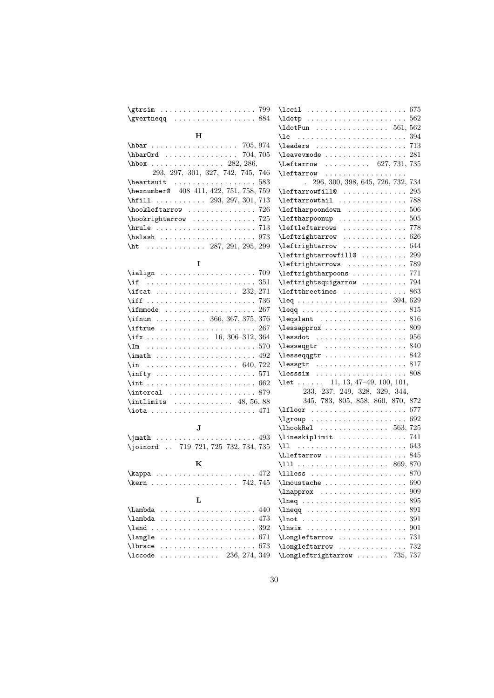| $\sqrt{799}$                                                       | \lceil  675                                                                                |
|--------------------------------------------------------------------|--------------------------------------------------------------------------------------------|
|                                                                    |                                                                                            |
|                                                                    |                                                                                            |
| н                                                                  |                                                                                            |
| hbar  705, 974                                                     |                                                                                            |
| \hbar0rd  704, 705                                                 | $\{\text{leavevmode} \dots \dots \dots \dots \dots \ 281$                                  |
|                                                                    | \Leftarrow  627, 731, 735                                                                  |
| 293, 297, 301, 327, 742, 745, 746                                  | $\left\{ \right\}$                                                                         |
| $\hbox{\tt\&{}$                                                    | . 296, 300, 398, 645, 726, 732, 734                                                        |
| \hexnumber@ 408-411, 422, 751, 758, 759                            | $\left\{\text{leftarrow} \dots \dots \dots \dots \ 295\right\}$                            |
| \hfill $\ldots \ldots \ldots$ 293, 297, 301, 713                   | \leftarrowtail  788                                                                        |
| $\hbox{\tt hookleftarrow} \ldots \ldots \ldots \ldots 726$         | $\left\{\text{leftharpoondown}\right.\dots\dots\dots\dots\ 506\right\}$                    |
| $\hbox{\tt hookrightarrow} \ldots \ldots \ldots \ldots 725$        |                                                                                            |
|                                                                    | \leftleftarrows  778                                                                       |
|                                                                    | $\left\{\text{Leftrightarrow \dots \dots \dots \ 626}\right\}$                             |
| \ht 287, 291, 295, 299                                             | \leftrightarrow  644                                                                       |
|                                                                    |                                                                                            |
| I                                                                  |                                                                                            |
| $\tilde{709}$                                                      | \leftrightharpoons  771                                                                    |
|                                                                    | \leftrightsquigarrow  794                                                                  |
| \ifcat  232, 271                                                   |                                                                                            |
|                                                                    |                                                                                            |
|                                                                    |                                                                                            |
| \ifnum 366, 367, 375, 376                                          | $\leq$ and $\ldots$ 816                                                                    |
| $\left\{\text{iftrue} \dots \dots \dots \dots \dots \ 267\right\}$ | $\{\text{lessapprox} \dots \dots \dots \dots \dots \ 809$                                  |
| \if $x \ldots \ldots \ldots \ldots \ldots 16, 306-312, 364$        | $\{\text{lessdot} \dots \dots \dots \dots \dots \ 956$                                     |
|                                                                    |                                                                                            |
|                                                                    |                                                                                            |
| $\sin$ 640, 722                                                    | $\text{less} \text{str} \dots \dots \dots \dots \dots \dots \dots \dots \dots \dots \dots$ |
|                                                                    |                                                                                            |
|                                                                    | \let  11, 13, 47-49, 100, 101,                                                             |
|                                                                    | 233, 237, 249, 328, 329, 344,                                                              |
| $\int$ intlimits  48, 56, 88                                       | 345, 783, 805, 858, 860, 870, 872                                                          |
|                                                                    |                                                                                            |
|                                                                    | $\qquad$                                                                                   |
| $\bf J$                                                            | $\Lambda$ 563, 725                                                                         |
| \joinord  719-721, 725-732, 734, 735                               | \lineskiplimit  741<br>\11                                                                 |
|                                                                    | $\text{Lleftarrow} \dots \dots \dots \dots \ 845$                                          |
| K                                                                  |                                                                                            |
|                                                                    | $\lceil$ 111ess  870                                                                       |
| $\ker$ n  742, 745                                                 |                                                                                            |
|                                                                    |                                                                                            |
| L                                                                  |                                                                                            |
| $\Lambda$ 440                                                      | $\lambda$ 291                                                                              |
| $\lambda$ ambda  473                                               | 391                                                                                        |
|                                                                    | $\ln \sin \dots \dots \dots$<br>901                                                        |
|                                                                    |                                                                                            |
| $\langle$ 1brace  673                                              |                                                                                            |
| $\text{Nccode}$ 236, 274, 349                                      | \Longleftrightarrow  735, 737                                                              |
|                                                                    |                                                                                            |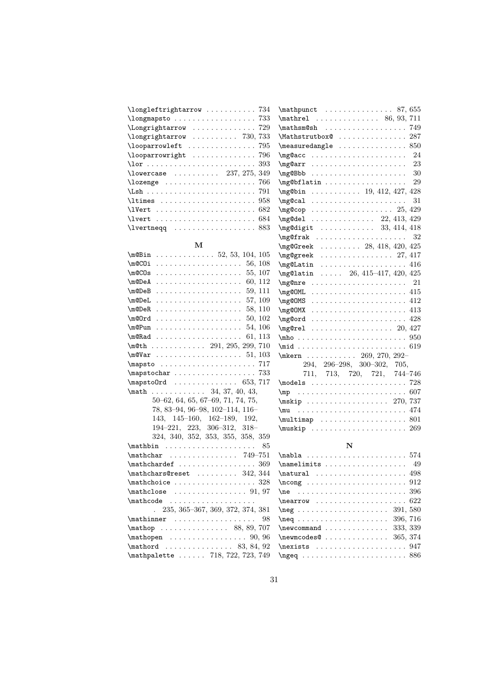| $\{\text{longleft}$ 734                                                               |  |
|---------------------------------------------------------------------------------------|--|
|                                                                                       |  |
| \Longrightarrow  729                                                                  |  |
| $\lceil \text{longrightarrow} \ldots \ldots \ldots \rceil$ 730, 733                   |  |
| $\{\text{looparrowleft} \dots \dots \dots \dots \ 795$                                |  |
| $\lambda$ 100parrowright  796                                                         |  |
| $\ar{.}\n393$                                                                         |  |
| \lowercase  237, 275, 349                                                             |  |
|                                                                                       |  |
|                                                                                       |  |
|                                                                                       |  |
|                                                                                       |  |
| $\text{V}}$                                                                           |  |
| $\text{Vert} \dots \dots \dots \dots \dots \dots \dots \dots \dots \dots \dots \dots$ |  |
| $\text{1} \times 883$                                                                 |  |

M

| $\text{MBin} \ldots \ldots \ldots \ldots 52, 53, 104, 105$                   |
|------------------------------------------------------------------------------|
| \m@COi<br>. 56, 108                                                          |
| . 55, 107<br>\m@COs                                                          |
| $\mho$ eA  60, 112                                                           |
|                                                                              |
| $\mho$ DeL  57, 109                                                          |
| $\mho$ PeR 58, 110                                                           |
| $\text{Qrrd}$ 50, 102                                                        |
| $\mho$ Pun 54, 106                                                           |
|                                                                              |
| $\m0th$ 291, 295, 299, 710                                                   |
|                                                                              |
| \mapsto  717                                                                 |
| $\mbox{\texttt{mapstochar}} \ldots \ldots \ldots \ldots \mbox{\texttt{733}}$ |
| $\mbox{mapstoOrd} \ldots \ldots \ldots \ldots 653, 717$                      |
| $\mathbb{1}, \ldots, \ldots, 34, 37, 40, 43,$                                |
| $50-62, 64, 65, 67-69, 71, 74, 75,$                                          |
| 78, 83-94, 96-98, 102-114, 116-                                              |
| 143, 145-160, 162-189, 192,                                                  |
| $194-221, 223, 306-312, 318-$                                                |
| 324, 340, 352, 353, 355, 358, 359                                            |
| $\mathbf{h}$<br>85                                                           |
| $\mathcal{L}$ 749-751                                                        |
|                                                                              |
| $\mathcal{L}$ 342, 344                                                       |
|                                                                              |
|                                                                              |
| $\mathcal{L}$                                                                |
| $235, 365-367, 369, 372, 374, 381$                                           |
| $\mathbf{r} \ldots \ldots \ldots \ldots 98$                                  |
| \mathop  88, 89, 707                                                         |
| $\mathcal{O}(96)$                                                            |
|                                                                              |
| \mathpalette  718, 722, 723, 749                                             |

| $\mathcal{L}$ 555                                         |
|-----------------------------------------------------------|
| $\mathcal{L}$ 86, 93, 711                                 |
| 749<br>\mathsm@sh                                         |
| \Mathstrutbox@ 287                                        |
| 850<br>\measuredangle                                     |
| 24<br>\mg@acc                                             |
| 23<br>\mg@arr                                             |
| -30<br>\mg@Bbb                                            |
| 29<br>\mg@bflatin                                         |
| $\mg{0}$ bin  19, 412, 427, 428                           |
| 31                                                        |
| $\mg$ cop 25, 429                                         |
| $\mg{4el}$ 22, 413, 429                                   |
| \mg@digit  33, 414, 418                                   |
|                                                           |
| $\mg{Q}$ Greek  28, 418, 420, 425                         |
| $\mg{q}$ greek  27, 417                                   |
| $\mg0$ Latin  416                                         |
| $\text{Mgg}$ latin  26, 415-417, 420, 425                 |
| $\mg{@nre$ 21                                             |
|                                                           |
| \mg@OMS                                                   |
|                                                           |
| \mg@ord                                                   |
| $\mg{erel}$ 20, 427                                       |
|                                                           |
|                                                           |
| $\text{Nmern}$ 269, 270, 292-                             |
| 294, 296-298, 300-302, 705,                               |
| 713, 720, 721, 744-746<br>711,                            |
|                                                           |
|                                                           |
| \mskip  270, 737                                          |
| $\text{Im} \ldots \ldots \ldots \ldots \ldots \ldots 474$ |
|                                                           |
|                                                           |
|                                                           |

# N

| $\nabla \ldots \ldots \ldots \ldots 574$                                                                                                                                                                                                                           |
|--------------------------------------------------------------------------------------------------------------------------------------------------------------------------------------------------------------------------------------------------------------------|
| $\{\text{namelimits} \dots \dots \dots \dots \quad 49$                                                                                                                                                                                                             |
|                                                                                                                                                                                                                                                                    |
| $\n\cdot 912$                                                                                                                                                                                                                                                      |
|                                                                                                                                                                                                                                                                    |
|                                                                                                                                                                                                                                                                    |
|                                                                                                                                                                                                                                                                    |
|                                                                                                                                                                                                                                                                    |
| $\neq$ $\geq$ $\geq$ $\geq$ $\geq$ $\geq$ $\geq$ $\geq$ $\geq$ $\geq$ $\geq$ $\geq$ $\geq$ $\geq$ $\geq$ $\geq$ $\geq$ $\geq$ $\geq$ $\geq$ $\geq$ $\geq$ $\geq$ $\geq$ $\geq$ $\geq$ $\geq$ $\geq$ $\geq$ $\geq$ $\geq$ $\geq$ $\geq$ $\geq$ $\geq$ $\geq$ $\geq$ |
| $\newpace{0.00}\n  The wmcodes@ \dots  \dots  \dots  \dots  365, 374$                                                                                                                                                                                              |
|                                                                                                                                                                                                                                                                    |
|                                                                                                                                                                                                                                                                    |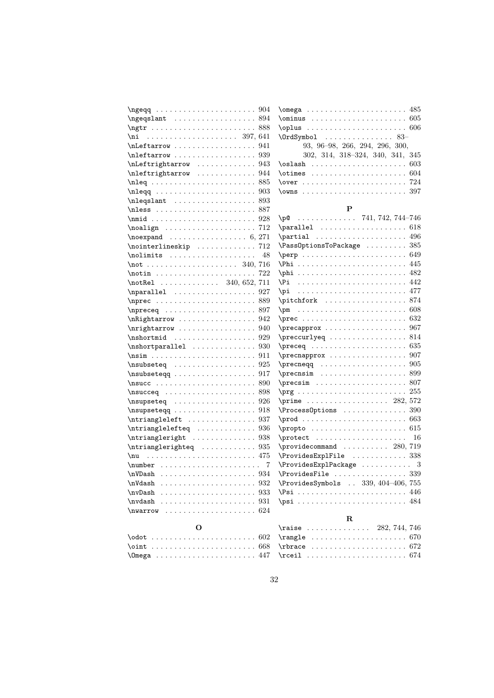| $\n\begin{array}{ccc}\n\ngeqq & \ldots & \ldots & \ldots & \ldots & \ldots & \ldots & \ldots\n\end{array}$                                                                                                                                                                                                                                                                                                                                                                                    | $\omega$ $(485)$                                                                                                                                                                                                                                                                                                                                                                                                       |
|-----------------------------------------------------------------------------------------------------------------------------------------------------------------------------------------------------------------------------------------------------------------------------------------------------------------------------------------------------------------------------------------------------------------------------------------------------------------------------------------------|------------------------------------------------------------------------------------------------------------------------------------------------------------------------------------------------------------------------------------------------------------------------------------------------------------------------------------------------------------------------------------------------------------------------|
| $\n\{ngeqslant \ldots \ldots \ldots \ldots 894$                                                                                                                                                                                                                                                                                                                                                                                                                                               |                                                                                                                                                                                                                                                                                                                                                                                                                        |
| $\sqrt{888}$                                                                                                                                                                                                                                                                                                                                                                                                                                                                                  | $\op{\overline{\mathrm{oplus}}\dots \dots \dots \dots \dots \dots 606}$                                                                                                                                                                                                                                                                                                                                                |
| $\pi$ 397, 641                                                                                                                                                                                                                                                                                                                                                                                                                                                                                | $\Upsilon$ $\Upsilon$ $\Upsilon$ $\Upsilon$ $\Upsilon$ $\Upsilon$ $\Upsilon$ $\Upsilon$ $\Upsilon$ $\Upsilon$ $\Upsilon$ $\Upsilon$ $\Upsilon$ $\Upsilon$ $\Upsilon$ $\Upsilon$ $\Upsilon$ $\Upsilon$ $\Upsilon$ $\Upsilon$ $\Upsilon$ $\Upsilon$ $\Upsilon$ $\Upsilon$ $\Upsilon$ $\Upsilon$ $\Upsilon$ $\Upsilon$ $\Upsilon$ $\Upsilon$ $\Upsilon$ $\Upsilon$ $\Upsilon$ $\Upsilon$ $\Upsilon$ $\Upsilon$ $\Upsilon$ |
| $\hbox{\tt \label{thm:1} \label{thm:1}$                                                                                                                                                                                                                                                                                                                                                                                                                                                       | 93, 96-98, 266, 294, 296, 300,                                                                                                                                                                                                                                                                                                                                                                                         |
| $\hbox{\texttt{r}}$                                                                                                                                                                                                                                                                                                                                                                                                                                                                           | 302, 314, 318–324, 340, 341, 345                                                                                                                                                                                                                                                                                                                                                                                       |
| $\hbar$ Leftrightarrow  943                                                                                                                                                                                                                                                                                                                                                                                                                                                                   |                                                                                                                                                                                                                                                                                                                                                                                                                        |
| $\hbox{nleftrightarrow$ 944                                                                                                                                                                                                                                                                                                                                                                                                                                                                   | $\lambda$ otimes $604$                                                                                                                                                                                                                                                                                                                                                                                                 |
|                                                                                                                                                                                                                                                                                                                                                                                                                                                                                               |                                                                                                                                                                                                                                                                                                                                                                                                                        |
|                                                                                                                                                                                                                                                                                                                                                                                                                                                                                               | $\text{Vowns}$ 397                                                                                                                                                                                                                                                                                                                                                                                                     |
| $\n\neq 893$                                                                                                                                                                                                                                                                                                                                                                                                                                                                                  |                                                                                                                                                                                                                                                                                                                                                                                                                        |
| \nless  887                                                                                                                                                                                                                                                                                                                                                                                                                                                                                   | P                                                                                                                                                                                                                                                                                                                                                                                                                      |
|                                                                                                                                                                                                                                                                                                                                                                                                                                                                                               | $\pi$ 741, 742, 744-746                                                                                                                                                                                                                                                                                                                                                                                                |
| $\n\cdot 712$                                                                                                                                                                                                                                                                                                                                                                                                                                                                                 |                                                                                                                                                                                                                                                                                                                                                                                                                        |
| $\neq 6, 271$                                                                                                                                                                                                                                                                                                                                                                                                                                                                                 |                                                                                                                                                                                                                                                                                                                                                                                                                        |
| $\{nointerlineskip$ 712                                                                                                                                                                                                                                                                                                                                                                                                                                                                       | $\n\text{PassOptionsToPackage} \dots \dots \dots \ 385$                                                                                                                                                                                                                                                                                                                                                                |
| 48                                                                                                                                                                                                                                                                                                                                                                                                                                                                                            | $\perp$                                                                                                                                                                                                                                                                                                                                                                                                                |
| $\text{16}$                                                                                                                                                                                                                                                                                                                                                                                                                                                                                   |                                                                                                                                                                                                                                                                                                                                                                                                                        |
| $\tau \ldots$ , $\ldots$ , $\ldots$ , $\ldots$ , $722$                                                                                                                                                                                                                                                                                                                                                                                                                                        |                                                                                                                                                                                                                                                                                                                                                                                                                        |
| $\{notRel$ 340, 652, 711                                                                                                                                                                                                                                                                                                                                                                                                                                                                      | \Pi                                                                                                                                                                                                                                                                                                                                                                                                                    |
|                                                                                                                                                                                                                                                                                                                                                                                                                                                                                               | \pi                                                                                                                                                                                                                                                                                                                                                                                                                    |
|                                                                                                                                                                                                                                                                                                                                                                                                                                                                                               | \pitchfork  874                                                                                                                                                                                                                                                                                                                                                                                                        |
|                                                                                                                                                                                                                                                                                                                                                                                                                                                                                               | $\pm$                                                                                                                                                                                                                                                                                                                                                                                                                  |
| \nRightarrow  942                                                                                                                                                                                                                                                                                                                                                                                                                                                                             |                                                                                                                                                                                                                                                                                                                                                                                                                        |
| $\n\{n \rightarrow \ldots \ldots \ldots \quad 940$                                                                                                                                                                                                                                                                                                                                                                                                                                            | $\preceq$ $567$                                                                                                                                                                                                                                                                                                                                                                                                        |
|                                                                                                                                                                                                                                                                                                                                                                                                                                                                                               | $\perp$ $\perp$ $\ldots$ 814                                                                                                                                                                                                                                                                                                                                                                                           |
| $\verb \nshortparallel  $ 930                                                                                                                                                                                                                                                                                                                                                                                                                                                                 |                                                                                                                                                                                                                                                                                                                                                                                                                        |
| $\nsim \ldots \nsim \ldots \nsim \ldots \nsim \ldots \nsim \ldots \nsim \ldots \nsim \ldots \nsim \ldots \nsim \ldots \nsim \ldots \nsim \ldots \nsim \ldots \nsim \ldots \nsim \ldots \nsim \ldots \nsim \ldots \nsim \ldots \nsim \ldots \nsim \ldots \nsim \ldots \nsim \ldots \nsim \ldots \nsim \ldots \nsim \ldots \nsim \ldots \nsim \ldots \nsim \ldots \nsim \ldots \nsim \ldots \nsim \ldots \nsim \ldots \nsim \ldots \nsim \ldots \nsim \ldots \nsim \ldots \nsim \ldots \nsim \$ |                                                                                                                                                                                                                                                                                                                                                                                                                        |
|                                                                                                                                                                                                                                                                                                                                                                                                                                                                                               |                                                                                                                                                                                                                                                                                                                                                                                                                        |
|                                                                                                                                                                                                                                                                                                                                                                                                                                                                                               | $\preccurlyeq 899$                                                                                                                                                                                                                                                                                                                                                                                                     |
|                                                                                                                                                                                                                                                                                                                                                                                                                                                                                               |                                                                                                                                                                                                                                                                                                                                                                                                                        |
|                                                                                                                                                                                                                                                                                                                                                                                                                                                                                               |                                                                                                                                                                                                                                                                                                                                                                                                                        |
|                                                                                                                                                                                                                                                                                                                                                                                                                                                                                               | $\prime$ 282, 572                                                                                                                                                                                                                                                                                                                                                                                                      |
|                                                                                                                                                                                                                                                                                                                                                                                                                                                                                               | $\Process$ Options  390                                                                                                                                                                                                                                                                                                                                                                                                |
| $\hbox{\tt \#}$                                                                                                                                                                                                                                                                                                                                                                                                                                                                               |                                                                                                                                                                                                                                                                                                                                                                                                                        |
| $\hbox{\it \textbf{interanglelefteq}} \dots \dots \dots \dots 936$                                                                                                                                                                                                                                                                                                                                                                                                                            | $\text{propto} \ldots \ldots \ldots \ldots \ldots \qquad 615$                                                                                                                                                                                                                                                                                                                                                          |
| \ntriangleright  938                                                                                                                                                                                                                                                                                                                                                                                                                                                                          | $\text{protect }    $<br>16                                                                                                                                                                                                                                                                                                                                                                                            |
| $\hbox{intrianglerighteq}$ 935                                                                                                                                                                                                                                                                                                                                                                                                                                                                | $\preccurlyeq$ $\preccurlyeq$ $\preccurlyeq$ $\preccurlyeq$ $\preccurlyeq$ $\preccurlyeq$ $\preccurlyeq$ $\preccurlyeq$ $\preccurlyeq$ $\preccurlyeq$ $\preccurlyeq$ $\preccurlyeq$ $\preccurlyeq$ $\preccurlyeq$ $\preccurlyeq$ $\preccurlyeq$ $\preccurlyeq$ $\preccurlyeq$ $\preccurlyeq$ $\preccurlyeq$ $\preccurlyeq$ $\preccurlyeq$ $\preccurlyeq$ $\preccurlyeq$ $\preccur$                                     |
|                                                                                                                                                                                                                                                                                                                                                                                                                                                                                               | \ProvidesExplFile  338                                                                                                                                                                                                                                                                                                                                                                                                 |
| 7                                                                                                                                                                                                                                                                                                                                                                                                                                                                                             | $\ProvidesExplPackage    3$                                                                                                                                                                                                                                                                                                                                                                                            |
|                                                                                                                                                                                                                                                                                                                                                                                                                                                                                               | $\ProvidesFile \ldots \ldots \ldots \ldots 339$                                                                                                                                                                                                                                                                                                                                                                        |
|                                                                                                                                                                                                                                                                                                                                                                                                                                                                                               | \ProvidesSymbols  339, 404-406, 755                                                                                                                                                                                                                                                                                                                                                                                    |
| $\nu$<br>933                                                                                                                                                                                                                                                                                                                                                                                                                                                                                  | $\Psi$ si  446                                                                                                                                                                                                                                                                                                                                                                                                         |
| 931<br>\nvdash                                                                                                                                                                                                                                                                                                                                                                                                                                                                                |                                                                                                                                                                                                                                                                                                                                                                                                                        |
| \nwarrow                                                                                                                                                                                                                                                                                                                                                                                                                                                                                      |                                                                                                                                                                                                                                                                                                                                                                                                                        |
|                                                                                                                                                                                                                                                                                                                                                                                                                                                                                               | $\mathbf R$                                                                                                                                                                                                                                                                                                                                                                                                            |
| О                                                                                                                                                                                                                                                                                                                                                                                                                                                                                             | $\texttt{raise}$<br>282, 744, 746                                                                                                                                                                                                                                                                                                                                                                                      |
|                                                                                                                                                                                                                                                                                                                                                                                                                                                                                               | $\texttt{range} \dots \dots \dots \dots \dots \dots \dots \dots \dots \dots \dots \dots \dots$                                                                                                                                                                                                                                                                                                                         |

\rbrace ...................... 672 \rceil . . . . . . . . . . . . . . . . . . . . . . 674

\oint . . . . . . . . . . . . . . . . . . . . . . . 668 \Omega . . . . . . . . . . . . . . . . . . . . . . 447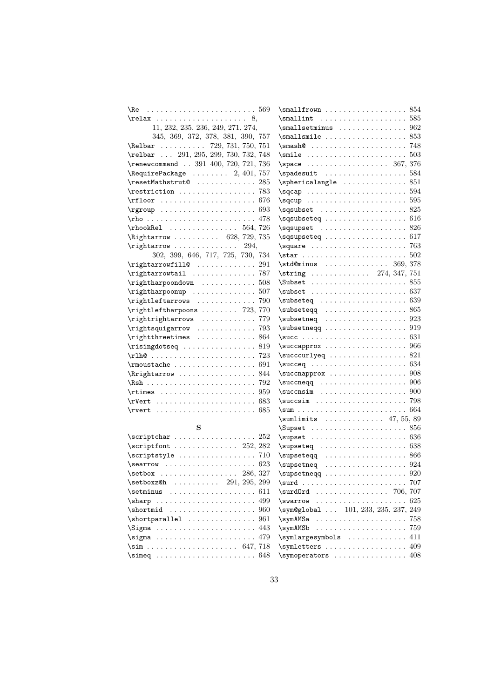|                                                                                                                                                                                                                                                                                                                                                                                                                                                                                                                                                                                                                                                                                        | $\sum_{i=1}^{n}$                           |
|----------------------------------------------------------------------------------------------------------------------------------------------------------------------------------------------------------------------------------------------------------------------------------------------------------------------------------------------------------------------------------------------------------------------------------------------------------------------------------------------------------------------------------------------------------------------------------------------------------------------------------------------------------------------------------------|--------------------------------------------|
| $\relax \ldots \ldots \ldots \ldots \ldots \ldots$                                                                                                                                                                                                                                                                                                                                                                                                                                                                                                                                                                                                                                     | $\mathrm{smallint} \ldots \ldots$          |
| 11, 232, 235, 236, 249, 271, 274,                                                                                                                                                                                                                                                                                                                                                                                                                                                                                                                                                                                                                                                      | $\sum_{s}$                                 |
| 345, 369, 372, 378, 381, 390, 757                                                                                                                                                                                                                                                                                                                                                                                                                                                                                                                                                                                                                                                      | $\sum 1 \text{smile} \ldots \ldots$        |
| $\lambda$ 729, 731, 750, 751                                                                                                                                                                                                                                                                                                                                                                                                                                                                                                                                                                                                                                                           | $\mathrm{smash} \circ \ldots \circ \ldots$ |
| \relbar  291, 295, 299, 730, 732, 748                                                                                                                                                                                                                                                                                                                                                                                                                                                                                                                                                                                                                                                  | $\sumile \ldots \ldots$                    |
| \renewcommand  391-400, 720, 721, 736                                                                                                                                                                                                                                                                                                                                                                                                                                                                                                                                                                                                                                                  |                                            |
| $\lambda$ 757                                                                                                                                                                                                                                                                                                                                                                                                                                                                                                                                                                                                                                                                          | \spadesuit                                 |
| $\texttt{TestMathstrut@ } \dots \dots \dots \dots 285$                                                                                                                                                                                                                                                                                                                                                                                                                                                                                                                                                                                                                                 | \sphericalangle                            |
| $\text{restriction} \ldots \ldots \ldots \ldots \quad \text{783}$                                                                                                                                                                                                                                                                                                                                                                                                                                                                                                                                                                                                                      | $\sqrt{sqcap \ldots \ldots \ldots}$        |
|                                                                                                                                                                                                                                                                                                                                                                                                                                                                                                                                                                                                                                                                                        | $\sqrt{sqcup \dots \dots \dots \dots}$     |
| $\rangle$                                                                                                                                                                                                                                                                                                                                                                                                                                                                                                                                                                                                                                                                              | \sqsubset                                  |
|                                                                                                                                                                                                                                                                                                                                                                                                                                                                                                                                                                                                                                                                                        | \sqsubseteq                                |
| $\rho$ Rel  564, 726                                                                                                                                                                                                                                                                                                                                                                                                                                                                                                                                                                                                                                                                   | \sqsupset                                  |
| \Rightarrow  628, 729, 735                                                                                                                                                                                                                                                                                                                                                                                                                                                                                                                                                                                                                                                             | \sqsupseteq                                |
|                                                                                                                                                                                                                                                                                                                                                                                                                                                                                                                                                                                                                                                                                        |                                            |
| 302, 399, 646, 717, 725, 730, 734                                                                                                                                                                                                                                                                                                                                                                                                                                                                                                                                                                                                                                                      |                                            |
| $\rightarrow$ 291                                                                                                                                                                                                                                                                                                                                                                                                                                                                                                                                                                                                                                                                      | \std@minus                                 |
| \rightarrowtail  787                                                                                                                                                                                                                                                                                                                                                                                                                                                                                                                                                                                                                                                                   | $\left\{\text{string}\ldots\right\}$       |
|                                                                                                                                                                                                                                                                                                                                                                                                                                                                                                                                                                                                                                                                                        | Subset                                     |
|                                                                                                                                                                                                                                                                                                                                                                                                                                                                                                                                                                                                                                                                                        | $\simeq$                                   |
| \rightleftarrows  790                                                                                                                                                                                                                                                                                                                                                                                                                                                                                                                                                                                                                                                                  | $\simeq$                                   |
| $\rightarrow$ 723, 770                                                                                                                                                                                                                                                                                                                                                                                                                                                                                                                                                                                                                                                                 | \subseteqq                                 |
| $\verb+\rightright" and \verb+\right" and \verb+\right" and \verb+\right" and \verb+\right" and \verb+\right" and \verb+\right" and \verb+\right" and \verb+\right" and \verb+\right" and \verb+\right" and \verb+\right" and \verb+\right" and \verb+\right" and \verb+\right" and \verb+\right" and \verb+\right" and \verb+\right" and \verb+\right" and \verb+\right" and \verb+\right" and \verb+\right" and \verb+\right" and \verb+\right" and \verb+\right" and \verb+\right" and \verb+\right" and \verb+\right" and \verb+\right" and \verb+\right" and \verb+\right" and \verb+\right" and \verb+\right" and \verb+\right" and \verb+\right" and \verb+\right" and \verb+\$ | $\simeq$                                   |
| $\verb+\rightsquigarray-\dots\dots 793$                                                                                                                                                                                                                                                                                                                                                                                                                                                                                                                                                                                                                                                | \subsetneqq                                |
| $\triangleright$ rightthreetimes  864                                                                                                                                                                                                                                                                                                                                                                                                                                                                                                                                                                                                                                                  | $\succeq$                                  |
|                                                                                                                                                                                                                                                                                                                                                                                                                                                                                                                                                                                                                                                                                        | \succapprox                                |
|                                                                                                                                                                                                                                                                                                                                                                                                                                                                                                                                                                                                                                                                                        | \succcurlyeq                               |
|                                                                                                                                                                                                                                                                                                                                                                                                                                                                                                                                                                                                                                                                                        | $\succeq$                                  |
| \Rrightarrow  844                                                                                                                                                                                                                                                                                                                                                                                                                                                                                                                                                                                                                                                                      | \succnapprox                               |
|                                                                                                                                                                                                                                                                                                                                                                                                                                                                                                                                                                                                                                                                                        | $\succeq$                                  |
| $\lvert \text{times} \ldots \ldots \ldots \ldots \rvert$                                                                                                                                                                                                                                                                                                                                                                                                                                                                                                                                                                                                                               | $\succsin$                                 |
|                                                                                                                                                                                                                                                                                                                                                                                                                                                                                                                                                                                                                                                                                        | $\succsim \ldots \ldots$                   |
|                                                                                                                                                                                                                                                                                                                                                                                                                                                                                                                                                                                                                                                                                        | $\sum$                                     |
|                                                                                                                                                                                                                                                                                                                                                                                                                                                                                                                                                                                                                                                                                        | \sumlimits                                 |
| S                                                                                                                                                                                                                                                                                                                                                                                                                                                                                                                                                                                                                                                                                      | Supset                                     |
| $\scriptstyle\text{\sc{4}}$                                                                                                                                                                                                                                                                                                                                                                                                                                                                                                                                                                                                                                                            |                                            |
| $\scriptstyle\setminus$ scriptfont  252, 282                                                                                                                                                                                                                                                                                                                                                                                                                                                                                                                                                                                                                                           | \supseteq                                  |
|                                                                                                                                                                                                                                                                                                                                                                                                                                                                                                                                                                                                                                                                                        | \supseteqq                                 |
|                                                                                                                                                                                                                                                                                                                                                                                                                                                                                                                                                                                                                                                                                        | \supsetneq                                 |
| $\setminus$ setbox  286, 327                                                                                                                                                                                                                                                                                                                                                                                                                                                                                                                                                                                                                                                           | $\supset$ supsetneqq                       |
| \setboxz@h  291, 295, 299                                                                                                                                                                                                                                                                                                                                                                                                                                                                                                                                                                                                                                                              | $\surd$ surd                               |
| \setminus<br>611                                                                                                                                                                                                                                                                                                                                                                                                                                                                                                                                                                                                                                                                       | $\surd$ surd $0$ rd                        |
| 499                                                                                                                                                                                                                                                                                                                                                                                                                                                                                                                                                                                                                                                                                    | \swarrow<br>.                              |
| \shortmid<br>960                                                                                                                                                                                                                                                                                                                                                                                                                                                                                                                                                                                                                                                                       | $\sqrt{symQglobal }$ 101,                  |
|                                                                                                                                                                                                                                                                                                                                                                                                                                                                                                                                                                                                                                                                                        | \symAMSa                                   |
| $\Sigma$<br>443                                                                                                                                                                                                                                                                                                                                                                                                                                                                                                                                                                                                                                                                        | .<br>\symAMSb                              |
| $\sigma \ldots \ldots \ldots \ldots$<br>479                                                                                                                                                                                                                                                                                                                                                                                                                                                                                                                                                                                                                                            | \symlargesymbols                           |
| $\sim$ 647, 718                                                                                                                                                                                                                                                                                                                                                                                                                                                                                                                                                                                                                                                                        | \symletters                                |
|                                                                                                                                                                                                                                                                                                                                                                                                                                                                                                                                                                                                                                                                                        | \symoperators                              |

. . . . . . . . . . 585 . . . . . . . . . . 962 . . . . . . . . . . 853  $\ldots \ldots \ldots$  . . . . . . 748  $\ldots \ldots \ldots$  . . . . . . 503  $\ldots \ldots$  . 367, 376  $\ldots \ldots \ldots$  . . . . 584  $\ldots \ldots \ldots$  . . . . 851  $\ldots \ldots \ldots$  . . . . . 594  $\ldots \ldots \ldots$  . . . . . 595 . . . . . . . . . . 825  $\ldots \ldots \ldots$  . . . . . 616 . . . . . . . . . . 826 . . . . . . . . . . 617 . . . . . . . . . . 763  $\ldots \ldots \ldots$  . . . . . 502  $\dots$  . . . . 369, 378  $\ldots$  274, 347, 751  $\ldots \ldots \ldots$  . . . . . 855  $\ldots \ldots \ldots$  . . . . . . 637  $\ldots \ldots \ldots$  . . . . . . 639  $\ldots \ldots \ldots \, . \, . \, . \, . \, 865$ . . . . . . . . . . 923 . . . . . . . . . . 919 . . . . . . . . . . 631 . . . . . . . . . . 966  $\ldots \ldots \ldots$  . . . . . 821  $\ldots \ldots \ldots$  . . . . . 634  $\ldots \ldots \ldots$  . . . . 908  $\ldots \ldots \ldots$  . . . . 906  $\ldots \ldots \ldots$  . . . . . 900 . . . . . . . . . . . 798  $\ldots \ldots \ldots$  . . . . . 664  $\ldots$  . . . 47, 55, 89  $\ldots \ldots \ldots \, . \, . \, . \, . \, . \, . \, . \, .$ . . . . . . . . . . 636  $\ldots \ldots \ldots$  . . . . . 638 . . . . . . . . . . 866 . . . . . . . . . . 924  $\ldots \ldots \ldots$  . . . . 920  $\ldots \ldots \ldots$  . . . . . . . 707  $\ldots \ldots$  . 706, 707  $\ldots \ldots \ldots$  . . . . . 625 233, 235, 237, 249  $\ldots \ldots \ldots$  . . . . . . 758 \symAMSb . . . . . . . . . . . . . . . . . . . . 759 . . . . . . . . . . . 411  $\ldots \ldots \ldots$  . . . . 409  $symoperators$  . . . . . . . . . . . . . . 408

 $\ldots \ldots \ldots$  . . . . 854